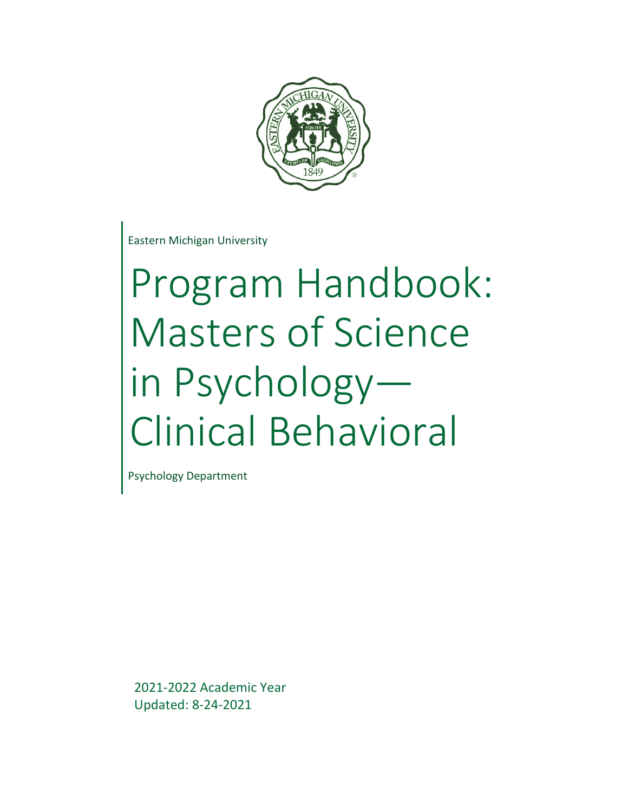

Eastern Michigan University

# Program Handbook: Masters of Science in Psychology— Clinical Behavioral

Psychology Department

2021-2022 Academic Year Updated: 8-24-2021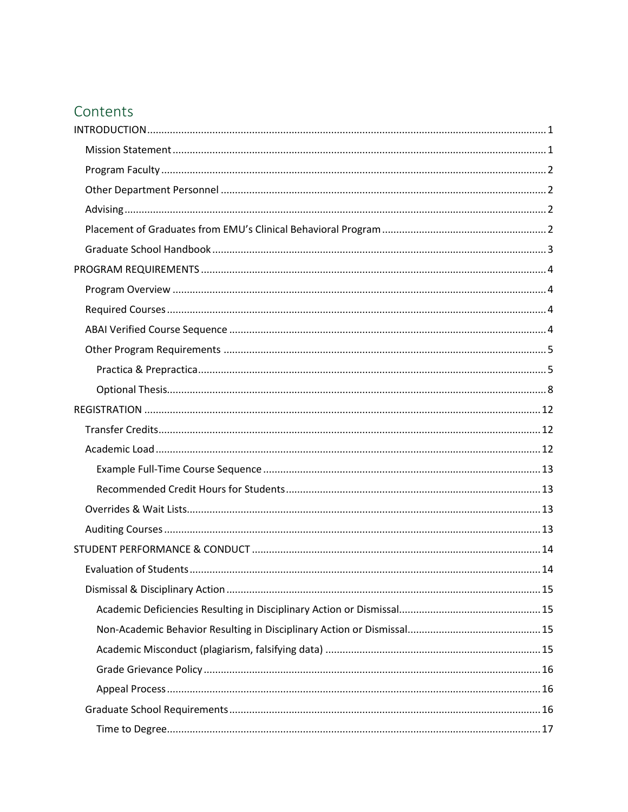# Contents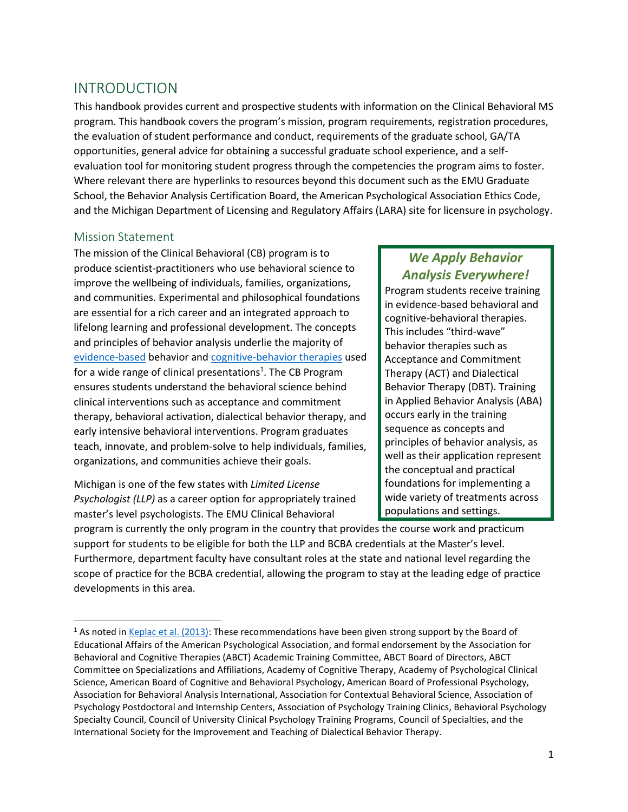# <span id="page-3-0"></span>INTRODUCTION

This handbook provides current and prospective students with information on the Clinical Behavioral MS program. This handbook covers the program's mission, program requirements, registration procedures, the evaluation of student performance and conduct, requirements of the graduate school, GA/TA opportunities, general advice for obtaining a successful graduate school experience, and a selfevaluation tool for monitoring student progress through the competencies the program aims to foster. Where relevant there are hyperlinks to resources beyond this document such as the EMU Graduate School, the Behavior Analysis Certification Board, the American Psychological Association Ethics Code, and the Michigan Department of Licensing and Regulatory Affairs (LARA) site for licensure in psychology.

## <span id="page-3-1"></span>Mission Statement

The mission of the Clinical Behavioral (CB) program is to produce scientist-practitioners who use behavioral science to improve the wellbeing of individuals, families, organizations, and communities. Experimental and philosophical foundations are essential for a rich career and an integrated approach to lifelong learning and professional development. The concepts and principles of behavior analysis underlie the majority of [evidence-based](https://www.div12.org/psychological-treatments/treatments/) behavior and [cognitive-behavior](https://doi.org/10.1016/j.beth.2012.05.002) therapies used for a wide range of clinical presentations<sup>1</sup>. The CB Program ensures students understand the behavioral science behind clinical interventions such as acceptance and commitment therapy, behavioral activation, dialectical behavior therapy, and early intensive behavioral interventions. Program graduates teach, innovate, and problem-solve to help individuals, families, organizations, and communities achieve their goals.

Michigan is one of the few states with *Limited License Psychologist (LLP)* as a career option for appropriately trained master's level psychologists. The EMU Clinical Behavioral

# *We Apply Behavior Analysis Everywhere!*

Program students receive training in evidence-based behavioral and cognitive-behavioral therapies. This includes "third-wave" behavior therapies such as Acceptance and Commitment Therapy (ACT) and Dialectical Behavior Therapy (DBT). Training in Applied Behavior Analysis (ABA) occurs early in the training sequence as concepts and principles of behavior analysis, as well as their application represent the conceptual and practical foundations for implementing a wide variety of treatments across populations and settings.

program is currently the only program in the country that provides the course work and practicum support for students to be eligible for both the LLP and BCBA credentials at the Master's level. Furthermore, department faculty have consultant roles at the state and national level regarding the scope of practice for the BCBA credential, allowing the program to stay at the leading edge of practice developments in this area.

<sup>&</sup>lt;sup>1</sup> As noted i[n Keplac et al. \(2013\):](https://doi.org/10.1016/j.beth.2012.05.002) These recommendations have been given strong support by the Board of Educational Affairs of the American Psychological Association, and formal endorsement by the Association for Behavioral and Cognitive Therapies (ABCT) Academic Training Committee, ABCT Board of Directors, ABCT Committee on Specializations and Affiliations, Academy of Cognitive Therapy, Academy of Psychological Clinical Science, American Board of Cognitive and Behavioral Psychology, American Board of Professional Psychology, Association for Behavioral Analysis International, Association for Contextual Behavioral Science, Association of Psychology Postdoctoral and Internship Centers, Association of Psychology Training Clinics, Behavioral Psychology Specialty Council, Council of University Clinical Psychology Training Programs, Council of Specialties, and the International Society for the Improvement and Teaching of Dialectical Behavior Therapy.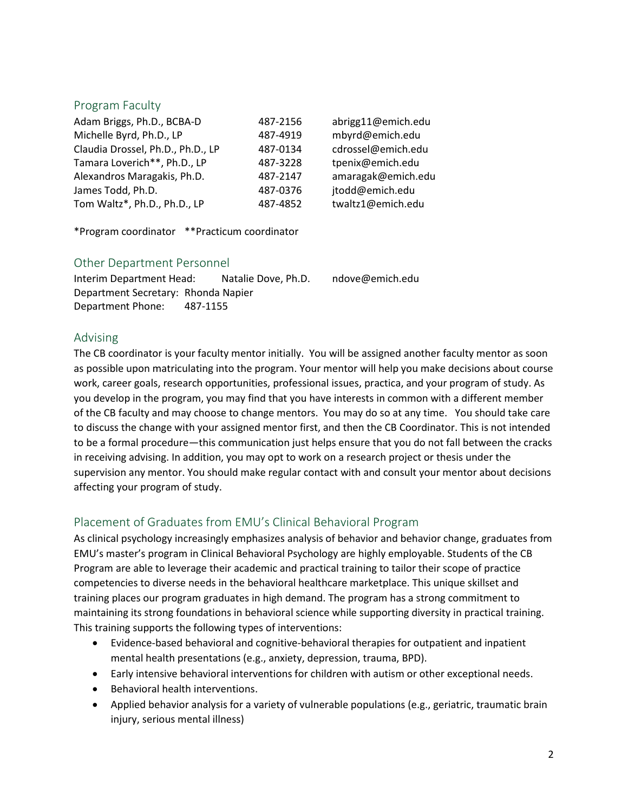## <span id="page-4-0"></span>Program Faculty

| abrigg11@emich.edu                                                               |
|----------------------------------------------------------------------------------|
| mbyrd@emich.edu                                                                  |
| cdrossel@emich.edu                                                               |
| tpenix@emich.edu                                                                 |
| amaragak@emich.edu                                                               |
| jtodd@emich.edu                                                                  |
| twaltz1@emich.edu                                                                |
| 487-2156<br>487-4919<br>487-0134<br>487-3228<br>487-2147<br>487-0376<br>487-4852 |

\*Program coordinator \*\*Practicum coordinator

## <span id="page-4-1"></span>Other Department Personnel

Interim Department Head: Natalie Dove, Ph.D. ndove@emich.edu Department Secretary: Rhonda Napier Department Phone: 487-1155

## <span id="page-4-2"></span>Advising

The CB coordinator is your faculty mentor initially. You will be assigned another faculty mentor as soon as possible upon matriculating into the program. Your mentor will help you make decisions about course work, career goals, research opportunities, professional issues, practica, and your program of study. As you develop in the program, you may find that you have interests in common with a different member of the CB faculty and may choose to change mentors. You may do so at any time. You should take care to discuss the change with your assigned mentor first, and then the CB Coordinator. This is not intended to be a formal procedure—this communication just helps ensure that you do not fall between the cracks in receiving advising. In addition, you may opt to work on a research project or thesis under the supervision any mentor. You should make regular contact with and consult your mentor about decisions affecting your program of study.

## <span id="page-4-3"></span>Placement of Graduates from EMU's Clinical Behavioral Program

As clinical psychology increasingly emphasizes analysis of behavior and behavior change, graduates from EMU's master's program in Clinical Behavioral Psychology are highly employable. Students of the CB Program are able to leverage their academic and practical training to tailor their scope of practice competencies to diverse needs in the behavioral healthcare marketplace. This unique skillset and training places our program graduates in high demand. The program has a strong commitment to maintaining its strong foundations in behavioral science while supporting diversity in practical training. This training supports the following types of interventions:

- Evidence-based behavioral and cognitive-behavioral therapies for outpatient and inpatient mental health presentations (e.g., anxiety, depression, trauma, BPD).
- Early intensive behavioral interventions for children with autism or other exceptional needs.
- Behavioral health interventions.
- Applied behavior analysis for a variety of vulnerable populations (e.g., geriatric, traumatic brain injury, serious mental illness)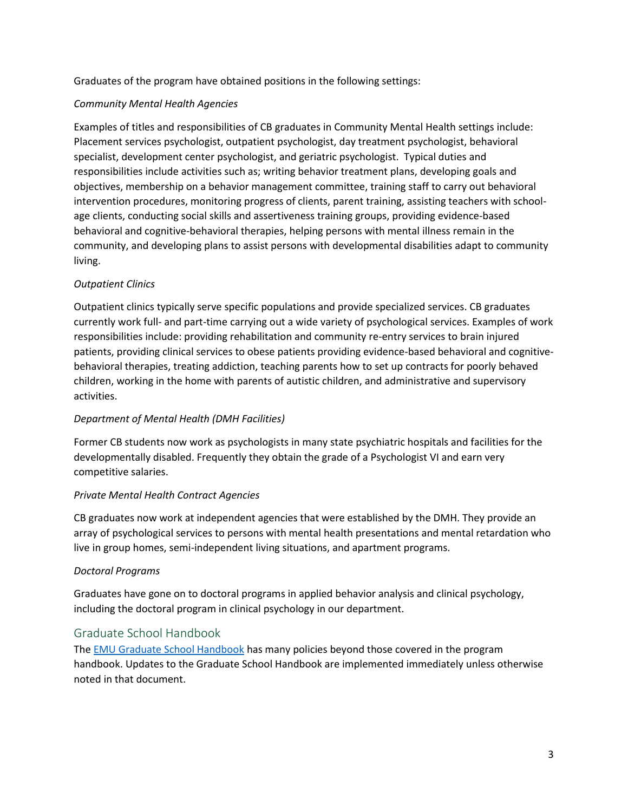Graduates of the program have obtained positions in the following settings:

## *Community Mental Health Agencies*

Examples of titles and responsibilities of CB graduates in Community Mental Health settings include: Placement services psychologist, outpatient psychologist, day treatment psychologist, behavioral specialist, development center psychologist, and geriatric psychologist. Typical duties and responsibilities include activities such as; writing behavior treatment plans, developing goals and objectives, membership on a behavior management committee, training staff to carry out behavioral intervention procedures, monitoring progress of clients, parent training, assisting teachers with schoolage clients, conducting social skills and assertiveness training groups, providing evidence-based behavioral and cognitive-behavioral therapies, helping persons with mental illness remain in the community, and developing plans to assist persons with developmental disabilities adapt to community living.

## *Outpatient Clinics*

Outpatient clinics typically serve specific populations and provide specialized services. CB graduates currently work full- and part-time carrying out a wide variety of psychological services. Examples of work responsibilities include: providing rehabilitation and community re-entry services to brain injured patients, providing clinical services to obese patients providing evidence-based behavioral and cognitivebehavioral therapies, treating addiction, teaching parents how to set up contracts for poorly behaved children, working in the home with parents of autistic children, and administrative and supervisory activities.

## *Department of Mental Health (DMH Facilities)*

Former CB students now work as psychologists in many state psychiatric hospitals and facilities for the developmentally disabled. Frequently they obtain the grade of a Psychologist VI and earn very competitive salaries.

## *Private Mental Health Contract Agencies*

CB graduates now work at independent agencies that were established by the DMH. They provide an array of psychological services to persons with mental health presentations and mental retardation who live in group homes, semi-independent living situations, and apartment programs.

## *Doctoral Programs*

Graduates have gone on to doctoral programs in applied behavior analysis and clinical psychology, including the doctoral program in clinical psychology in our department.

## <span id="page-5-0"></span>Graduate School Handbook

The [EMU Graduate School Handbook](https://www.emich.edu/graduate/policies/index.php) has many policies beyond those covered in the program handbook. Updates to the Graduate School Handbook are implemented immediately unless otherwise noted in that document.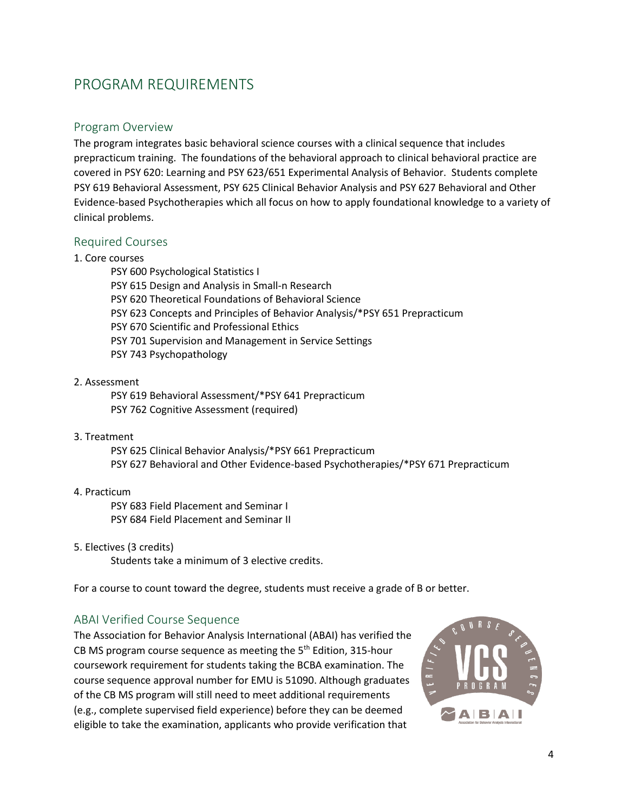# <span id="page-6-0"></span>PROGRAM REQUIREMENTS

## <span id="page-6-1"></span>Program Overview

The program integrates basic behavioral science courses with a clinical sequence that includes prepracticum training. The foundations of the behavioral approach to clinical behavioral practice are covered in PSY 620: Learning and PSY 623/651 Experimental Analysis of Behavior. Students complete PSY 619 Behavioral Assessment, PSY 625 Clinical Behavior Analysis and PSY 627 Behavioral and Other Evidence-based Psychotherapies which all focus on how to apply foundational knowledge to a variety of clinical problems.

## <span id="page-6-2"></span>Required Courses

## 1. Core courses

PSY 600 Psychological Statistics I PSY 615 Design and Analysis in Small-n Research PSY 620 Theoretical Foundations of Behavioral Science PSY 623 Concepts and Principles of Behavior Analysis/\*PSY 651 Prepracticum PSY 670 Scientific and Professional Ethics PSY 701 Supervision and Management in Service Settings PSY 743 Psychopathology

## 2. Assessment

PSY 619 Behavioral Assessment/\*PSY 641 Prepracticum PSY 762 Cognitive Assessment (required)

## 3. Treatment

PSY 625 Clinical Behavior Analysis/\*PSY 661 Prepracticum PSY 627 Behavioral and Other Evidence-based Psychotherapies/\*PSY 671 Prepracticum

## 4. Practicum

PSY 683 Field Placement and Seminar I PSY 684 Field Placement and Seminar II

## 5. Electives (3 credits)

Students take a minimum of 3 elective credits.

For a course to count toward the degree, students must receive a grade of B or better.

## <span id="page-6-3"></span>ABAI Verified Course Sequence

The Association for Behavior Analysis International (ABAI) has verified the CB MS program course sequence as meeting the 5<sup>th</sup> Edition, 315-hour coursework requirement for students taking the BCBA examination. The course sequence approval number for EMU is 51090. Although graduates of the CB MS program will still need to meet additional requirements (e.g., complete supervised field experience) before they can be deemed eligible to take the examination, applicants who provide verification that

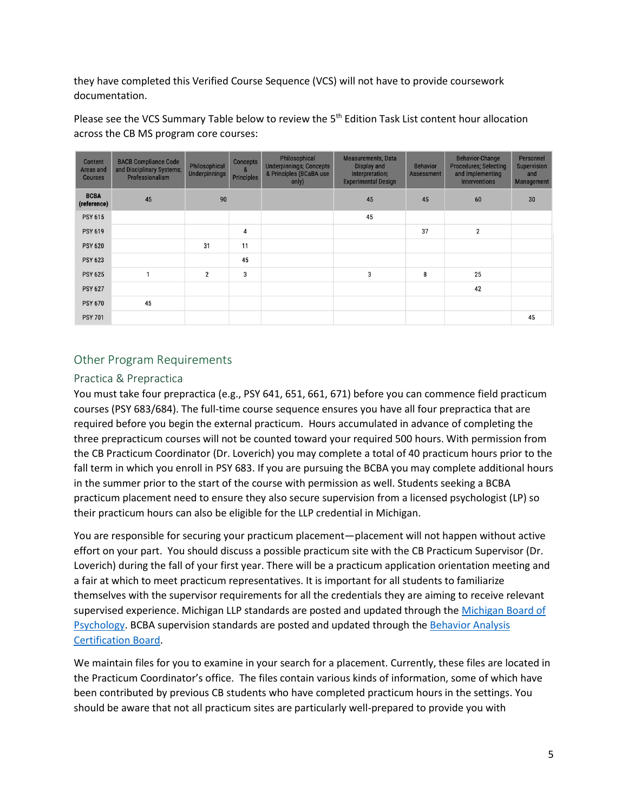they have completed this Verified Course Sequence (VCS) will not have to provide coursework documentation.

Please see the VCS Summary Table below to review the 5<sup>th</sup> Edition Task List content hour allocation across the CB MS program core courses:

| <b>Content</b><br>Areas and<br><b>Courses</b> | <b>BACB Compliance Code</b><br>and Disciplinary Systems;<br>Professionalism | Philosophical<br><b>Underpinnings</b> | Concepts<br>$\mathbf{g}$<br><b>Principles</b> | Philosophical<br><b>Underpinnings; Concepts</b><br>& Principles (BCaBA use<br>only) | <b>Measurements, Data</b><br>Display and<br>Interpretation;<br><b>Experimental Design</b> | <b>Behavior</b><br><b>Assessment</b> | <b>Behavior-Change</b><br><b>Procedures; Selecting</b><br>and Implementing<br><b>Interventions</b> | Personnel<br>Supervision<br>and<br>Management |
|-----------------------------------------------|-----------------------------------------------------------------------------|---------------------------------------|-----------------------------------------------|-------------------------------------------------------------------------------------|-------------------------------------------------------------------------------------------|--------------------------------------|----------------------------------------------------------------------------------------------------|-----------------------------------------------|
| <b>BCBA</b><br>(reference)                    | 45                                                                          | 90                                    |                                               |                                                                                     | 45                                                                                        | 45                                   | 60                                                                                                 | 30                                            |
| <b>PSY 615</b>                                |                                                                             |                                       |                                               |                                                                                     | 45                                                                                        |                                      |                                                                                                    |                                               |
| <b>PSY 619</b>                                |                                                                             |                                       | 4                                             |                                                                                     |                                                                                           | 37                                   | $\overline{2}$                                                                                     |                                               |
| <b>PSY 620</b>                                |                                                                             | 31                                    | 11                                            |                                                                                     |                                                                                           |                                      |                                                                                                    |                                               |
| <b>PSY 623</b>                                |                                                                             |                                       | 45                                            |                                                                                     |                                                                                           |                                      |                                                                                                    |                                               |
| <b>PSY 625</b>                                | ٠                                                                           | $\overline{2}$                        | 3                                             |                                                                                     | 3                                                                                         | 8                                    | 25                                                                                                 |                                               |
| <b>PSY 627</b>                                |                                                                             |                                       |                                               |                                                                                     |                                                                                           |                                      | 42                                                                                                 |                                               |
| <b>PSY 670</b>                                | 45                                                                          |                                       |                                               |                                                                                     |                                                                                           |                                      |                                                                                                    |                                               |
| <b>PSY 701</b>                                |                                                                             |                                       |                                               |                                                                                     |                                                                                           |                                      |                                                                                                    | 45                                            |

## <span id="page-7-0"></span>Other Program Requirements

## <span id="page-7-1"></span>Practica & Prepractica

You must take four prepractica (e.g., PSY 641, 651, 661, 671) before you can commence field practicum courses (PSY 683/684). The full-time course sequence ensures you have all four prepractica that are required before you begin the external practicum. Hours accumulated in advance of completing the three prepracticum courses will not be counted toward your required 500 hours. With permission from the CB Practicum Coordinator (Dr. Loverich) you may complete a total of 40 practicum hours prior to the fall term in which you enroll in PSY 683. If you are pursuing the BCBA you may complete additional hours in the summer prior to the start of the course with permission as well. Students seeking a BCBA practicum placement need to ensure they also secure supervision from a licensed psychologist (LP) so their practicum hours can also be eligible for the LLP credential in Michigan.

You are responsible for securing your practicum placement—placement will not happen without active effort on your part. You should discuss a possible practicum site with the CB Practicum Supervisor (Dr. Loverich) during the fall of your first year. There will be a practicum application orientation meeting and a fair at which to meet practicum representatives. It is important for all students to familiarize themselves with the supervisor requirements for all the credentials they are aiming to receive relevant supervised experience. Michigan LLP standards are posted and updated through the [Michigan Board of](http://www.michigan.gov/lara/0,4601,7-154-72600_72603_27529_27552---,00.html)  [Psychology.](http://www.michigan.gov/lara/0,4601,7-154-72600_72603_27529_27552---,00.html) BCBA supervision standards are posted and updated through the [Behavior Analysis](https://www.bacb.com/supervision-requirements/)  [Certification Board.](https://www.bacb.com/supervision-requirements/)

We maintain files for you to examine in your search for a placement. Currently, these files are located in the Practicum Coordinator's office. The files contain various kinds of information, some of which have been contributed by previous CB students who have completed practicum hours in the settings. You should be aware that not all practicum sites are particularly well-prepared to provide you with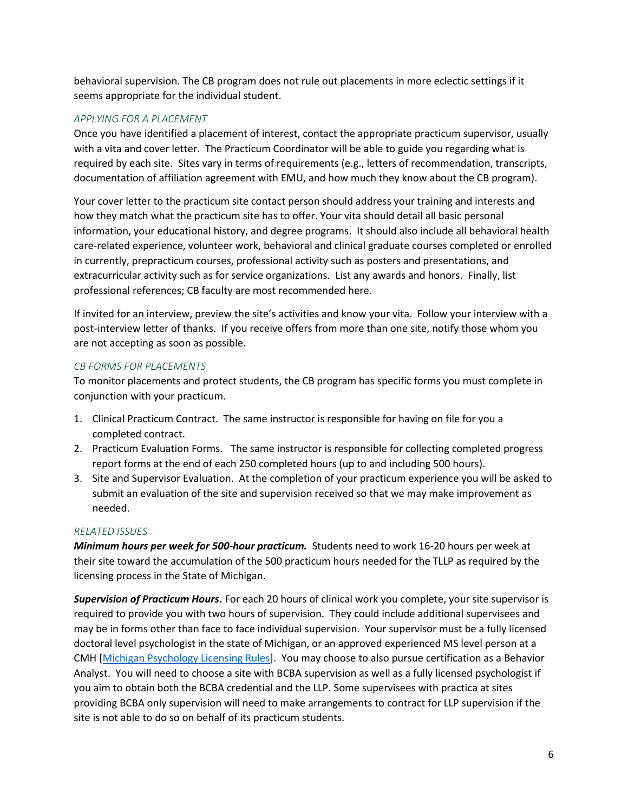behavioral supervision. The CB program does not rule out placements in more eclectic settings if it seems appropriate for the individual student.

## *APPLYING FOR A PLACEMENT*

Once you have identified a placement of interest, contact the appropriate practicum supervisor, usually with a vita and cover letter. The Practicum Coordinator will be able to guide you regarding what is required by each site. Sites vary in terms of requirements (e.g., letters of recommendation, transcripts, documentation of affiliation agreement with EMU, and how much they know about the CB program).

Your cover letter to the practicum site contact person should address your training and interests and how they match what the practicum site has to offer. Your vita should detail all basic personal information, your educational history, and degree programs. It should also include all behavioral health care-related experience, volunteer work, behavioral and clinical graduate courses completed or enrolled in currently, prepracticum courses, professional activity such as posters and presentations, and extracurricular activity such as for service organizations. List any awards and honors. Finally, list professional references; CB faculty are most recommended here.

If invited for an interview, preview the site's activities and know your vita. Follow your interview with a post-interview letter of thanks. If you receive offers from more than one site, notify those whom you are not accepting as soon as possible.

## *CB FORMS FOR PLACEMENTS*

To monitor placements and protect students, the CB program has specific forms you must complete in conjunction with your practicum.

- 1. Clinical Practicum Contract. The same instructor is responsible for having on file for you a completed contract.
- 2. Practicum Evaluation Forms. The same instructor is responsible for collecting completed progress report forms at the end of each 250 completed hours (up to and including 500 hours).
- 3. Site and Supervisor Evaluation. At the completion of your practicum experience you will be asked to submit an evaluation of the site and supervision received so that we may make improvement as needed.

## *RELATED ISSUES*

*Minimum hours per week for 500-hour practicum.* Students need to work 16-20 hours per week at their site toward the accumulation of the 500 practicum hours needed for the TLLP as required by the licensing process in the State of Michigan.

*Supervision of Practicum Hours***.** For each 20 hours of clinical work you complete, your site supervisor is required to provide you with two hours of supervision. They could include additional supervisees and may be in forms other than face to face individual supervision. Your supervisor must be a fully licensed doctoral level psychologist in the state of Michigan, or an approved experienced MS level person at a CMH [\[Michigan Psychology Licensing Rules\]](http://dmbinternet.state.mi.us/DMB/ORRDocs/AdminCode/1657_2016-048LR_AdminCode.pdf). You may choose to also pursue certification as a Behavior Analyst. You will need to choose a site with BCBA supervision as well as a fully licensed psychologist if you aim to obtain both the BCBA credential and the LLP. Some supervisees with practica at sites providing BCBA only supervision will need to make arrangements to contract for LLP supervision if the site is not able to do so on behalf of its practicum students.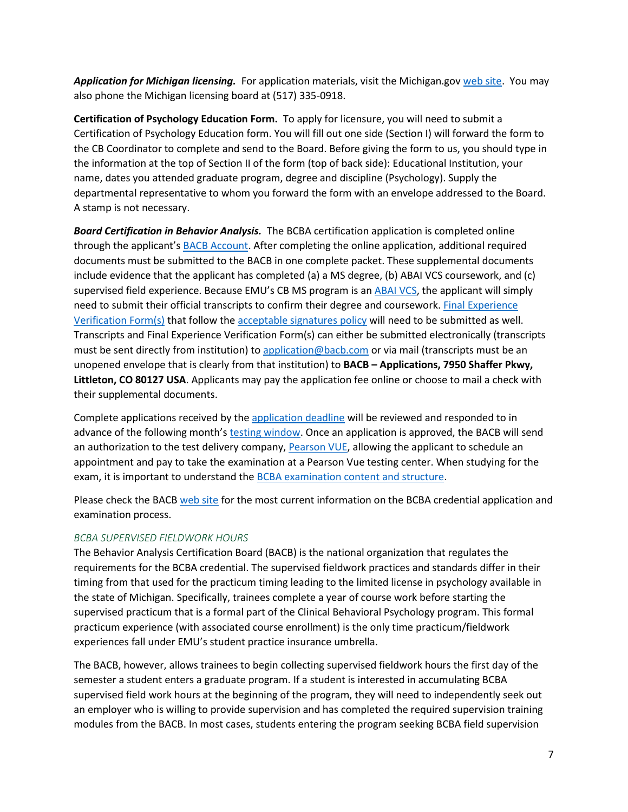*Application for Michigan licensing.* For application materials, visit the Michigan.go[v web site.](http://www.michigan.gov/lara/0,4601,7-154-72600_72603_27529_27552---,00.html) You may also phone the Michigan licensing board at (517) 335-0918.

**Certification of Psychology Education Form.** To apply for licensure, you will need to submit a Certification of Psychology Education form. You will fill out one side (Section I) will forward the form to the CB Coordinator to complete and send to the Board. Before giving the form to us, you should type in the information at the top of Section II of the form (top of back side): Educational Institution, your name, dates you attended graduate program, degree and discipline (Psychology). Supply the departmental representative to whom you forward the form with an envelope addressed to the Board. A stamp is not necessary.

*Board Certification in Behavior Analysis.* The BCBA certification application is completed online through the applicant's [BACB Account.](https://gateway.bacb.com/Account/Login.aspx) After completing the online application, additional required documents must be submitted to the BACB in one complete packet. These supplemental documents include evidence that the applicant has completed (a) a MS degree, (b) ABAI VCS coursework, and (c) supervised field experience. Because EMU's CB MS program is an [ABAI VCS,](https://www.abainternational.org/vcs/directory/course-sequence-information.aspx?csid=07d4fb8e-65b4-e911-8116-000c29a8e632) the applicant will simply need to submit their official transcripts to confirm their degree and coursework[. Final Experience](https://www.bacb.com/experience-standards-monthly-system/)  [Verification Form\(s\)](https://www.bacb.com/experience-standards-monthly-system/) that follow the [acceptable signatures policy](https://www.bacb.com/acceptable-signatures-policy/) will need to be submitted as well. Transcripts and Final Experience Verification Form(s) can either be submitted electronically (transcripts must be sent directly from institution) t[o application@bacb.com](mailto:application@bacb.com) or via mail (transcripts must be an unopened envelope that is clearly from that institution) to **BACB – Applications, 7950 Shaffer Pkwy, Littleton, CO 80127 USA**. Applicants may pay the application fee online or choose to mail a check with their supplemental documents.

Complete applications received by th[e application deadline](https://www.bacb.com/examination-information/exam-dates/) will be reviewed and responded to in advance of the following month's [testing window.](https://www.bacb.com/examination-information/exam-dates/) Once an application is approved, the BACB will send an authorization to the test delivery company[, Pearson VUE,](https://home.pearsonvue.com/bacb) allowing the applicant to schedule an appointment and pay to take the examination at a Pearson Vue testing center. When studying for the exam, it is important to understand th[e BCBA examination content and structure.](https://www.bacb.com/bcba/bcba-exam/)

Please check the BAC[B web site](https://www.bacb.com/bcba/) for the most current information on the BCBA credential application and examination process.

## *BCBA SUPERVISED FIELDWORK HOURS*

The Behavior Analysis Certification Board (BACB) is the national organization that regulates the requirements for the BCBA credential. The supervised fieldwork practices and standards differ in their timing from that used for the practicum timing leading to the limited license in psychology available in the state of Michigan. Specifically, trainees complete a year of course work before starting the supervised practicum that is a formal part of the Clinical Behavioral Psychology program. This formal practicum experience (with associated course enrollment) is the only time practicum/fieldwork experiences fall under EMU's student practice insurance umbrella.

The BACB, however, allows trainees to begin collecting supervised fieldwork hours the first day of the semester a student enters a graduate program. If a student is interested in accumulating BCBA supervised field work hours at the beginning of the program, they will need to independently seek out an employer who is willing to provide supervision and has completed the required supervision training modules from the BACB. In most cases, students entering the program seeking BCBA field supervision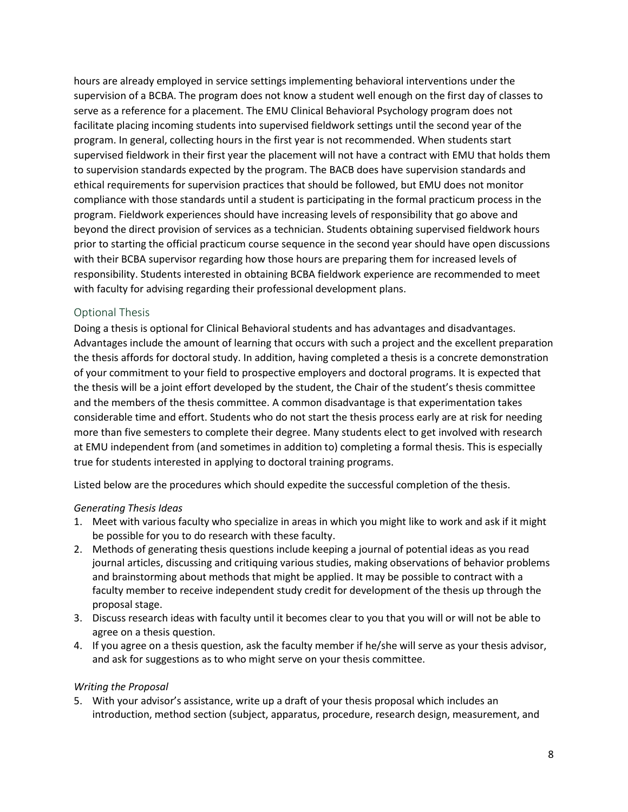hours are already employed in service settings implementing behavioral interventions under the supervision of a BCBA. The program does not know a student well enough on the first day of classes to serve as a reference for a placement. The EMU Clinical Behavioral Psychology program does not facilitate placing incoming students into supervised fieldwork settings until the second year of the program. In general, collecting hours in the first year is not recommended. When students start supervised fieldwork in their first year the placement will not have a contract with EMU that holds them to supervision standards expected by the program. The BACB does have supervision standards and ethical requirements for supervision practices that should be followed, but EMU does not monitor compliance with those standards until a student is participating in the formal practicum process in the program. Fieldwork experiences should have increasing levels of responsibility that go above and beyond the direct provision of services as a technician. Students obtaining supervised fieldwork hours prior to starting the official practicum course sequence in the second year should have open discussions with their BCBA supervisor regarding how those hours are preparing them for increased levels of responsibility. Students interested in obtaining BCBA fieldwork experience are recommended to meet with faculty for advising regarding their professional development plans.

## <span id="page-10-0"></span>Optional Thesis

Doing a thesis is optional for Clinical Behavioral students and has advantages and disadvantages. Advantages include the amount of learning that occurs with such a project and the excellent preparation the thesis affords for doctoral study. In addition, having completed a thesis is a concrete demonstration of your commitment to your field to prospective employers and doctoral programs. It is expected that the thesis will be a joint effort developed by the student, the Chair of the student's thesis committee and the members of the thesis committee. A common disadvantage is that experimentation takes considerable time and effort. Students who do not start the thesis process early are at risk for needing more than five semesters to complete their degree. Many students elect to get involved with research at EMU independent from (and sometimes in addition to) completing a formal thesis. This is especially true for students interested in applying to doctoral training programs.

Listed below are the procedures which should expedite the successful completion of the thesis.

## *Generating Thesis Ideas*

- 1. Meet with various faculty who specialize in areas in which you might like to work and ask if it might be possible for you to do research with these faculty.
- 2. Methods of generating thesis questions include keeping a journal of potential ideas as you read journal articles, discussing and critiquing various studies, making observations of behavior problems and brainstorming about methods that might be applied. It may be possible to contract with a faculty member to receive independent study credit for development of the thesis up through the proposal stage.
- 3. Discuss research ideas with faculty until it becomes clear to you that you will or will not be able to agree on a thesis question.
- 4. If you agree on a thesis question, ask the faculty member if he/she will serve as your thesis advisor, and ask for suggestions as to who might serve on your thesis committee.

#### *Writing the Proposal*

5. With your advisor's assistance, write up a draft of your thesis proposal which includes an introduction, method section (subject, apparatus, procedure, research design, measurement, and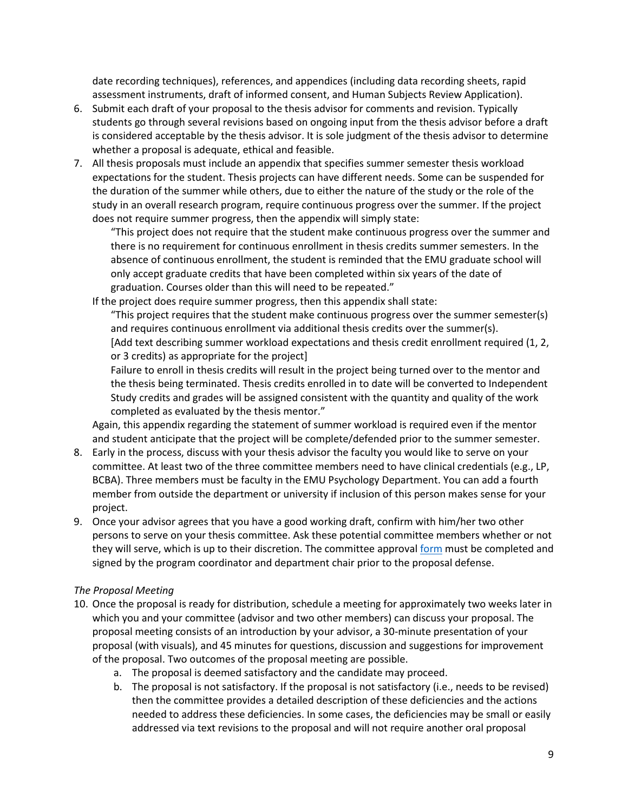date recording techniques), references, and appendices (including data recording sheets, rapid assessment instruments, draft of informed consent, and Human Subjects Review Application).

- 6. Submit each draft of your proposal to the thesis advisor for comments and revision. Typically students go through several revisions based on ongoing input from the thesis advisor before a draft is considered acceptable by the thesis advisor. It is sole judgment of the thesis advisor to determine whether a proposal is adequate, ethical and feasible.
- 7. All thesis proposals must include an appendix that specifies summer semester thesis workload expectations for the student. Thesis projects can have different needs. Some can be suspended for the duration of the summer while others, due to either the nature of the study or the role of the study in an overall research program, require continuous progress over the summer. If the project does not require summer progress, then the appendix will simply state:

"This project does not require that the student make continuous progress over the summer and there is no requirement for continuous enrollment in thesis credits summer semesters. In the absence of continuous enrollment, the student is reminded that the EMU graduate school will only accept graduate credits that have been completed within six years of the date of graduation. Courses older than this will need to be repeated."

If the project does require summer progress, then this appendix shall state:

"This project requires that the student make continuous progress over the summer semester(s) and requires continuous enrollment via additional thesis credits over the summer(s). [Add text describing summer workload expectations and thesis credit enrollment required (1, 2, or 3 credits) as appropriate for the project]

Failure to enroll in thesis credits will result in the project being turned over to the mentor and the thesis being terminated. Thesis credits enrolled in to date will be converted to Independent Study credits and grades will be assigned consistent with the quantity and quality of the work completed as evaluated by the thesis mentor."

Again, this appendix regarding the statement of summer workload is required even if the mentor and student anticipate that the project will be complete/defended prior to the summer semester.

- 8. Early in the process, discuss with your thesis advisor the faculty you would like to serve on your committee. At least two of the three committee members need to have clinical credentials (e.g., LP, BCBA). Three members must be faculty in the EMU Psychology Department. You can add a fourth member from outside the department or university if inclusion of this person makes sense for your project.
- 9. Once your advisor agrees that you have a good working draft, confirm with him/her two other persons to serve on your thesis committee. Ask these potential committee members whether or not they will serve, which is up to their discretion. The committee approva[l form](https://www.emich.edu/psychology/forms/grad_form.php) must be completed and signed by the program coordinator and department chair prior to the proposal defense.

## *The Proposal Meeting*

- 10. Once the proposal is ready for distribution, schedule a meeting for approximately two weeks later in which you and your committee (advisor and two other members) can discuss your proposal. The proposal meeting consists of an introduction by your advisor, a 30-minute presentation of your proposal (with visuals), and 45 minutes for questions, discussion and suggestions for improvement of the proposal. Two outcomes of the proposal meeting are possible.
	- a. The proposal is deemed satisfactory and the candidate may proceed.
	- b. The proposal is not satisfactory. If the proposal is not satisfactory (i.e., needs to be revised) then the committee provides a detailed description of these deficiencies and the actions needed to address these deficiencies. In some cases, the deficiencies may be small or easily addressed via text revisions to the proposal and will not require another oral proposal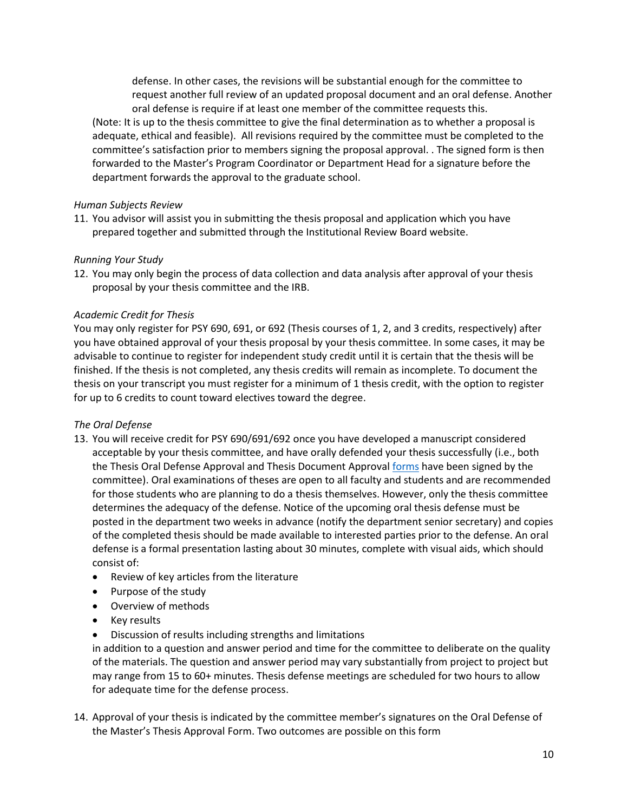defense. In other cases, the revisions will be substantial enough for the committee to request another full review of an updated proposal document and an oral defense. Another oral defense is require if at least one member of the committee requests this. (Note: It is up to the thesis committee to give the final determination as to whether a proposal is adequate, ethical and feasible). All revisions required by the committee must be completed to the committee's satisfaction prior to members signing the proposal approval. . The signed form is then forwarded to the Master's Program Coordinator or Department Head for a signature before the department forwards the approval to the graduate school.

## *Human Subjects Review*

11. You advisor will assist you in submitting the thesis proposal and application which you have prepared together and submitted through the Institutional Review Board website.

## *Running Your Study*

12. You may only begin the process of data collection and data analysis after approval of your thesis proposal by your thesis committee and the IRB.

## *Academic Credit for Thesis*

You may only register for PSY 690, 691, or 692 (Thesis courses of 1, 2, and 3 credits, respectively) after you have obtained approval of your thesis proposal by your thesis committee. In some cases, it may be advisable to continue to register for independent study credit until it is certain that the thesis will be finished. If the thesis is not completed, any thesis credits will remain as incomplete. To document the thesis on your transcript you must register for a minimum of 1 thesis credit, with the option to register for up to 6 credits to count toward electives toward the degree.

## *The Oral Defense*

- 13. You will receive credit for PSY 690/691/692 once you have developed a manuscript considered acceptable by your thesis committee, and have orally defended your thesis successfully (i.e., both the Thesis Oral Defense Approval and Thesis Document Approva[l forms](https://www.emich.edu/psychology/forms/grad_form.php) have been signed by the committee). Oral examinations of theses are open to all faculty and students and are recommended for those students who are planning to do a thesis themselves. However, only the thesis committee determines the adequacy of the defense. Notice of the upcoming oral thesis defense must be posted in the department two weeks in advance (notify the department senior secretary) and copies of the completed thesis should be made available to interested parties prior to the defense. An oral defense is a formal presentation lasting about 30 minutes, complete with visual aids, which should consist of:
	- Review of key articles from the literature
	- Purpose of the study
	- Overview of methods
	- Key results
	- Discussion of results including strengths and limitations

in addition to a question and answer period and time for the committee to deliberate on the quality of the materials. The question and answer period may vary substantially from project to project but may range from 15 to 60+ minutes. Thesis defense meetings are scheduled for two hours to allow for adequate time for the defense process.

14. Approval of your thesis is indicated by the committee member's signatures on the Oral Defense of the Master's Thesis Approval Form. Two outcomes are possible on this form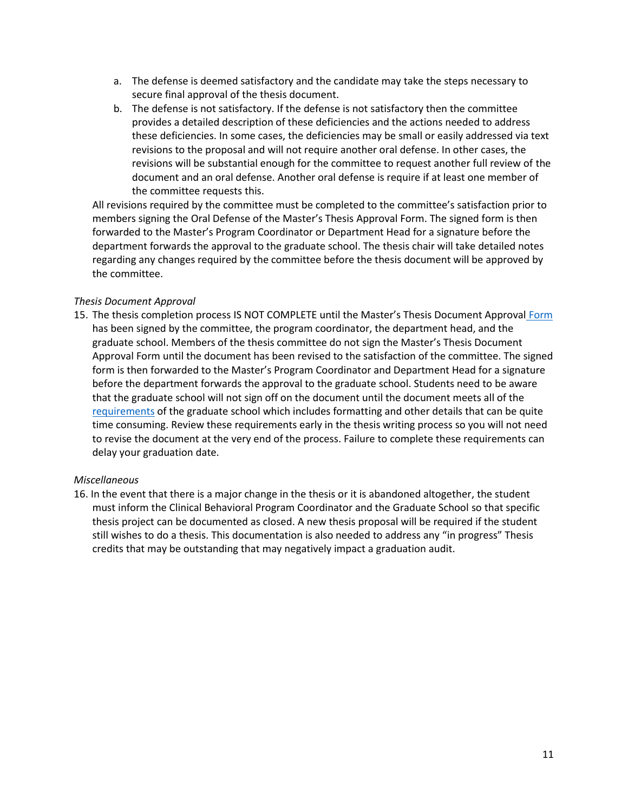- a. The defense is deemed satisfactory and the candidate may take the steps necessary to secure final approval of the thesis document.
- b. The defense is not satisfactory. If the defense is not satisfactory then the committee provides a detailed description of these deficiencies and the actions needed to address these deficiencies. In some cases, the deficiencies may be small or easily addressed via text revisions to the proposal and will not require another oral defense. In other cases, the revisions will be substantial enough for the committee to request another full review of the document and an oral defense. Another oral defense is require if at least one member of the committee requests this.

All revisions required by the committee must be completed to the committee's satisfaction prior to members signing the Oral Defense of the Master's Thesis Approval Form. The signed form is then forwarded to the Master's Program Coordinator or Department Head for a signature before the department forwards the approval to the graduate school. The thesis chair will take detailed notes regarding any changes required by the committee before the thesis document will be approved by the committee.

## *Thesis Document Approval*

15. The thesis completion process IS NOT COMPLETE until the Master's Thesis Document Approval [Form](https://www.emich.edu/psychology/forms/grad_form.php) has been signed by the committee, the program coordinator, the department head, and the graduate school. Members of the thesis committee do not sign the Master's Thesis Document Approval Form until the document has been revised to the satisfaction of the committee. The signed form is then forwarded to the Master's Program Coordinator and Department Head for a signature before the department forwards the approval to the graduate school. Students need to be aware that the graduate school will not sign off on the document until the document meets all of the [requirements](https://www.emich.edu/graduate/thesis_dissertation/forms.php) of the graduate school which includes formatting and other details that can be quite time consuming. Review these requirements early in the thesis writing process so you will not need to revise the document at the very end of the process. Failure to complete these requirements can delay your graduation date.

## *Miscellaneous*

16. In the event that there is a major change in the thesis or it is abandoned altogether, the student must inform the Clinical Behavioral Program Coordinator and the Graduate School so that specific thesis project can be documented as closed. A new thesis proposal will be required if the student still wishes to do a thesis. This documentation is also needed to address any "in progress" Thesis credits that may be outstanding that may negatively impact a graduation audit.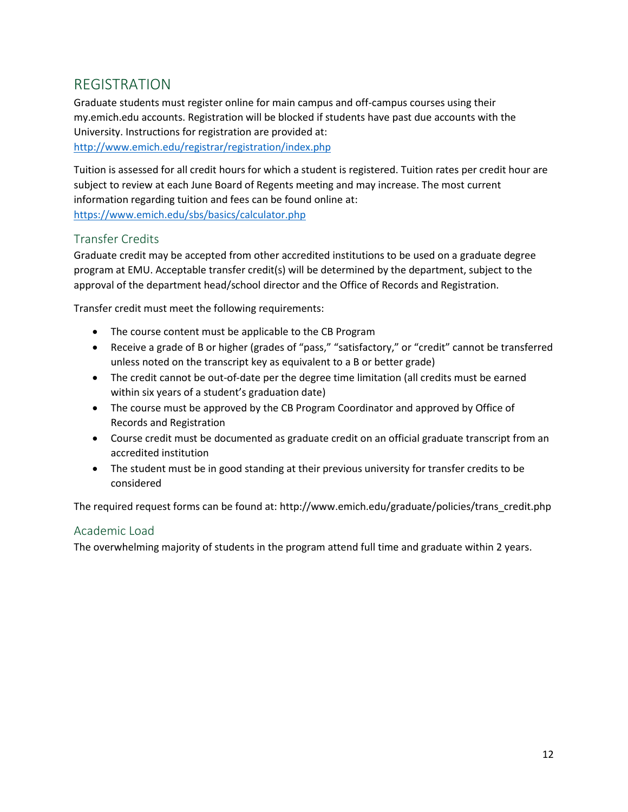# <span id="page-14-0"></span>REGISTRATION

Graduate students must register online for main campus and off-campus courses using their my.emich.edu accounts. Registration will be blocked if students have past due accounts with the University. Instructions for registration are provided at: <http://www.emich.edu/registrar/registration/index.php>

Tuition is assessed for all credit hours for which a student is registered. Tuition rates per credit hour are subject to review at each June Board of Regents meeting and may increase. The most current information regarding tuition and fees can be found online at: <https://www.emich.edu/sbs/basics/calculator.php>

## <span id="page-14-1"></span>Transfer Credits

Graduate credit may be accepted from other accredited institutions to be used on a graduate degree program at EMU. Acceptable transfer credit(s) will be determined by the department, subject to the approval of the department head/school director and the Office of Records and Registration.

Transfer credit must meet the following requirements:

- The course content must be applicable to the CB Program
- Receive a grade of B or higher (grades of "pass," "satisfactory," or "credit" cannot be transferred unless noted on the transcript key as equivalent to a B or better grade)
- The credit cannot be out-of-date per the degree time limitation (all credits must be earned within six years of a student's graduation date)
- The course must be approved by the CB Program Coordinator and approved by Office of Records and Registration
- Course credit must be documented as graduate credit on an official graduate transcript from an accredited institution
- The student must be in good standing at their previous university for transfer credits to be considered

The required request forms can be found at: http://www.emich.edu/graduate/policies/trans\_credit.php

## <span id="page-14-2"></span>Academic Load

The overwhelming majority of students in the program attend full time and graduate within 2 years.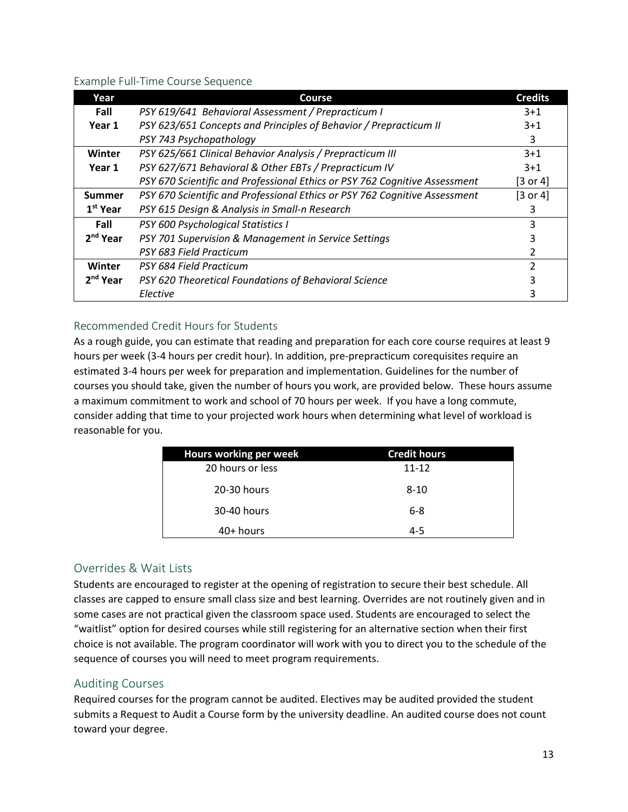## <span id="page-15-0"></span>Example Full-Time Course Sequence

| Year                 | Course                                                                     | <b>Credits</b> |
|----------------------|----------------------------------------------------------------------------|----------------|
| Fall                 | PSY 619/641 Behavioral Assessment / Prepracticum I                         | $3+1$          |
| Year 1               | PSY 623/651 Concepts and Principles of Behavior / Prepracticum II          | $3+1$          |
|                      | PSY 743 Psychopathology                                                    | 3              |
| Winter               | PSY 625/661 Clinical Behavior Analysis / Prepracticum III                  | $3+1$          |
| Year 1               | PSY 627/671 Behavioral & Other EBTs / Prepracticum IV                      | $3+1$          |
|                      | PSY 670 Scientific and Professional Ethics or PSY 762 Cognitive Assessment | $[3$ or 4]     |
| <b>Summer</b>        | PSY 670 Scientific and Professional Ethics or PSY 762 Cognitive Assessment | $[3$ or 4]     |
| 1 <sup>st</sup> Year | PSY 615 Design & Analysis in Small-n Research                              | 3              |
| Fall                 | PSY 600 Psychological Statistics I                                         | 3              |
| $2nd$ Year           | PSY 701 Supervision & Management in Service Settings                       |                |
|                      | PSY 683 Field Practicum                                                    |                |
| Winter               | PSY 684 Field Practicum                                                    | 2              |
| 2 <sup>nd</sup> Year | PSY 620 Theoretical Foundations of Behavioral Science                      |                |
|                      | Elective                                                                   |                |

## <span id="page-15-1"></span>Recommended Credit Hours for Students

As a rough guide, you can estimate that reading and preparation for each core course requires at least 9 hours per week (3-4 hours per credit hour). In addition, pre-prepracticum corequisites require an estimated 3-4 hours per week for preparation and implementation. Guidelines for the number of courses you should take, given the number of hours you work, are provided below. These hours assume a maximum commitment to work and school of 70 hours per week. If you have a long commute, consider adding that time to your projected work hours when determining what level of workload is reasonable for you.

| Hours working per week | <b>Credit hours</b> |
|------------------------|---------------------|
| 20 hours or less       | $11 - 12$           |
| 20-30 hours            | $8 - 10$            |
| 30-40 hours            | 6-8                 |
| $40+$ hours            | $4 - 5$             |

## <span id="page-15-2"></span>Overrides & Wait Lists

Students are encouraged to register at the opening of registration to secure their best schedule. All classes are capped to ensure small class size and best learning. Overrides are not routinely given and in some cases are not practical given the classroom space used. Students are encouraged to select the "waitlist" option for desired courses while still registering for an alternative section when their first choice is not available. The program coordinator will work with you to direct you to the schedule of the sequence of courses you will need to meet program requirements.

## <span id="page-15-3"></span>Auditing Courses

Required courses for the program cannot be audited. Electives may be audited provided the student submits a Request to Audit a Course form by the university deadline. An audited course does not count toward your degree.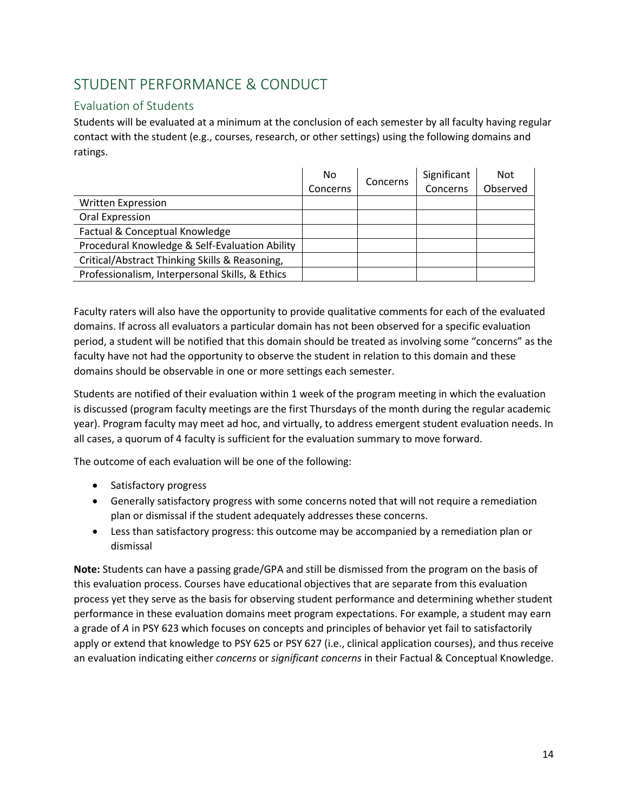# <span id="page-16-0"></span>STUDENT PERFORMANCE & CONDUCT

## <span id="page-16-1"></span>Evaluation of Students

Students will be evaluated at a minimum at the conclusion of each semester by all faculty having regular contact with the student (e.g., courses, research, or other settings) using the following domains and ratings.

|                                                 | No<br>Concerns | Concerns | Significant<br>Concerns | Not<br>Observed |
|-------------------------------------------------|----------------|----------|-------------------------|-----------------|
| Written Expression                              |                |          |                         |                 |
| Oral Expression                                 |                |          |                         |                 |
| Factual & Conceptual Knowledge                  |                |          |                         |                 |
| Procedural Knowledge & Self-Evaluation Ability  |                |          |                         |                 |
| Critical/Abstract Thinking Skills & Reasoning,  |                |          |                         |                 |
| Professionalism, Interpersonal Skills, & Ethics |                |          |                         |                 |

Faculty raters will also have the opportunity to provide qualitative comments for each of the evaluated domains. If across all evaluators a particular domain has not been observed for a specific evaluation period, a student will be notified that this domain should be treated as involving some "concerns" as the faculty have not had the opportunity to observe the student in relation to this domain and these domains should be observable in one or more settings each semester.

Students are notified of their evaluation within 1 week of the program meeting in which the evaluation is discussed (program faculty meetings are the first Thursdays of the month during the regular academic year). Program faculty may meet ad hoc, and virtually, to address emergent student evaluation needs. In all cases, a quorum of 4 faculty is sufficient for the evaluation summary to move forward.

The outcome of each evaluation will be one of the following:

- Satisfactory progress
- Generally satisfactory progress with some concerns noted that will not require a remediation plan or dismissal if the student adequately addresses these concerns.
- Less than satisfactory progress: this outcome may be accompanied by a remediation plan or dismissal

**Note:** Students can have a passing grade/GPA and still be dismissed from the program on the basis of this evaluation process. Courses have educational objectives that are separate from this evaluation process yet they serve as the basis for observing student performance and determining whether student performance in these evaluation domains meet program expectations. For example, a student may earn a grade of *A* in PSY 623 which focuses on concepts and principles of behavior yet fail to satisfactorily apply or extend that knowledge to PSY 625 or PSY 627 (i.e., clinical application courses), and thus receive an evaluation indicating either *concerns* or *significant concerns* in their Factual & Conceptual Knowledge.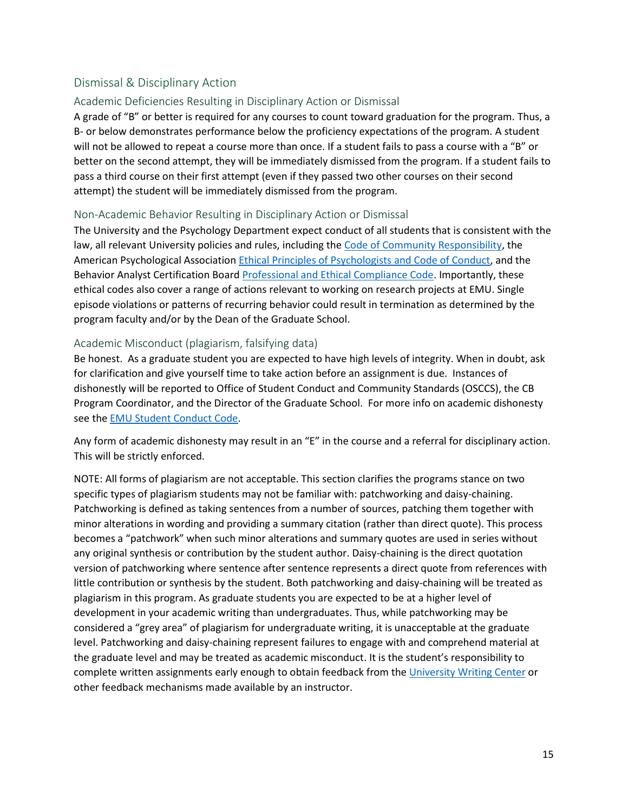## <span id="page-17-0"></span>Dismissal & Disciplinary Action

## <span id="page-17-1"></span>Academic Deficiencies Resulting in Disciplinary Action or Dismissal

A grade of "B" or better is required for any courses to count toward graduation for the program. Thus, a B- or below demonstrates performance below the proficiency expectations of the program. A student will not be allowed to repeat a course more than once. If a student fails to pass a course with a "B" or better on the second attempt, they will be immediately dismissed from the program. If a student fails to pass a third course on their first attempt (even if they passed two other courses on their second attempt) the student will be immediately dismissed from the program.

## <span id="page-17-2"></span>Non-Academic Behavior Resulting in Disciplinary Action or Dismissal

The University and the Psychology Department expect conduct of all students that is consistent with the law, all relevant University policies and rules, including the [Code of Community Responsibility,](https://www.emich.edu/policies/policy.php?id=124) the American Psychological Association [Ethical Principles of Psychologists](http://www.apa.org/ethics/code/index.aspx) and Code of Conduct, and the Behavior Analyst Certification Board [Professional and Ethical Compliance Code.](https://www.bacb.com/ethics/ethics-code/) Importantly, these ethical codes also cover a range of actions relevant to working on research projects at EMU. Single episode violations or patterns of recurring behavior could result in termination as determined by the program faculty and/or by the Dean of the Graduate School.

## <span id="page-17-3"></span>Academic Misconduct (plagiarism, falsifying data)

Be honest. As a graduate student you are expected to have high levels of integrity. When in doubt, ask for clarification and give yourself time to take action before an assignment is due. Instances of dishonestly will be reported to Office of Student Conduct and Community Standards (OSCCS), the CB Program Coordinator, and the Director of the Graduate School. For more info on academic dishonesty see the [EMU Student Conduct Code.](http://www.emich.edu/policies/policy.php?id=124&term=student%20conduct)

Any form of academic dishonesty may result in an "E" in the course and a referral for disciplinary action. This will be strictly enforced.

NOTE: All forms of plagiarism are not acceptable. This section clarifies the programs stance on two specific types of plagiarism students may not be familiar with: patchworking and daisy-chaining. Patchworking is defined as taking sentences from a number of sources, patching them together with minor alterations in wording and providing a summary citation (rather than direct quote). This process becomes a "patchwork" when such minor alterations and summary quotes are used in series without any original synthesis or contribution by the student author. Daisy-chaining is the direct quotation version of patchworking where sentence after sentence represents a direct quote from references with little contribution or synthesis by the student. Both patchworking and daisy-chaining will be treated as plagiarism in this program. As graduate students you are expected to be at a higher level of development in your academic writing than undergraduates. Thus, while patchworking may be considered a "grey area" of plagiarism for undergraduate writing, it is unacceptable at the graduate level. Patchworking and daisy-chaining represent failures to engage with and comprehend material at the graduate level and may be treated as academic misconduct. It is the student's responsibility to complete written assignments early enough to obtain feedback from the [University Writing Center](http://www.emich.edu/uwc) or other feedback mechanisms made available by an instructor.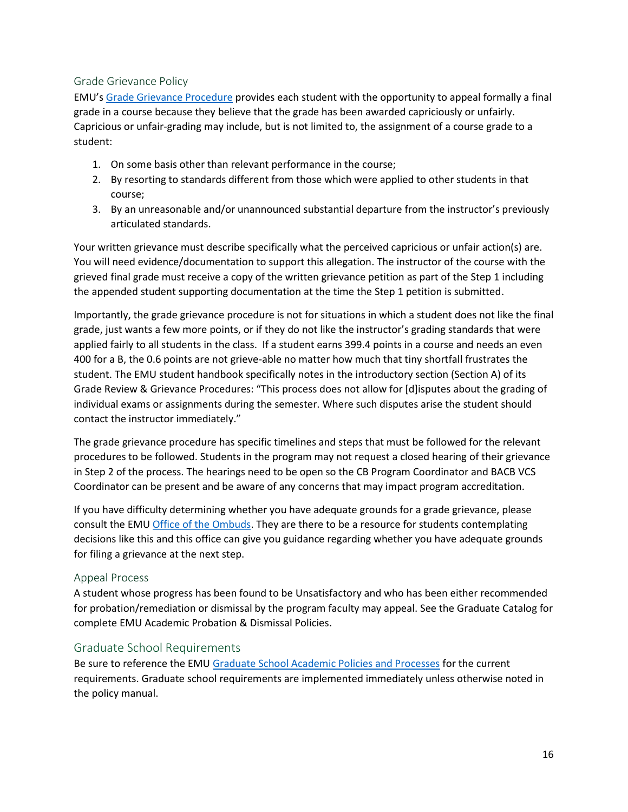## <span id="page-18-0"></span>Grade Grievance Policy

EMU's [Grade Grievance Procedure](http://www.emich.edu/studenthandbook/policies/gradegrievanceprocedureguide.pdf) provides each student with the opportunity to appeal formally a final grade in a course because they believe that the grade has been awarded capriciously or unfairly. Capricious or unfair-grading may include, but is not limited to, the assignment of a course grade to a student:

- 1. On some basis other than relevant performance in the course;
- 2. By resorting to standards different from those which were applied to other students in that course;
- 3. By an unreasonable and/or unannounced substantial departure from the instructor's previously articulated standards.

Your written grievance must describe specifically what the perceived capricious or unfair action(s) are. You will need evidence/documentation to support this allegation. The instructor of the course with the grieved final grade must receive a copy of the written grievance petition as part of the Step 1 including the appended student supporting documentation at the time the Step 1 petition is submitted.

Importantly, the grade grievance procedure is not for situations in which a student does not like the final grade, just wants a few more points, or if they do not like the instructor's grading standards that were applied fairly to all students in the class. If a student earns 399.4 points in a course and needs an even 400 for a B, the 0.6 points are not grieve-able no matter how much that tiny shortfall frustrates the student. The EMU student handbook specifically notes in the introductory section (Section A) of its Grade Review & Grievance Procedures: "This process does not allow for [d]isputes about the grading of individual exams or assignments during the semester. Where such disputes arise the student should contact the instructor immediately."

The grade grievance procedure has specific timelines and steps that must be followed for the relevant procedures to be followed. Students in the program may not request a closed hearing of their grievance in Step 2 of the process. The hearings need to be open so the CB Program Coordinator and BACB VCS Coordinator can be present and be aware of any concerns that may impact program accreditation.

If you have difficulty determining whether you have adequate grounds for a grade grievance, please consult the EM[U Office of the Ombuds.](https://www.emich.edu/ombuds/) They are there to be a resource for students contemplating decisions like this and this office can give you guidance regarding whether you have adequate grounds for filing a grievance at the next step.

## <span id="page-18-1"></span>Appeal Process

A student whose progress has been found to be Unsatisfactory and who has been either recommended for probation/remediation or dismissal by the program faculty may appeal. See the Graduate Catalog for complete EMU Academic Probation & Dismissal Policies.

## <span id="page-18-2"></span>Graduate School Requirements

Be sure to reference the EMU [Graduate School Academic Policies and Processes](http://www.emich.edu/graduate/policies/policies_process.pdf) for the current requirements. Graduate school requirements are implemented immediately unless otherwise noted in the policy manual.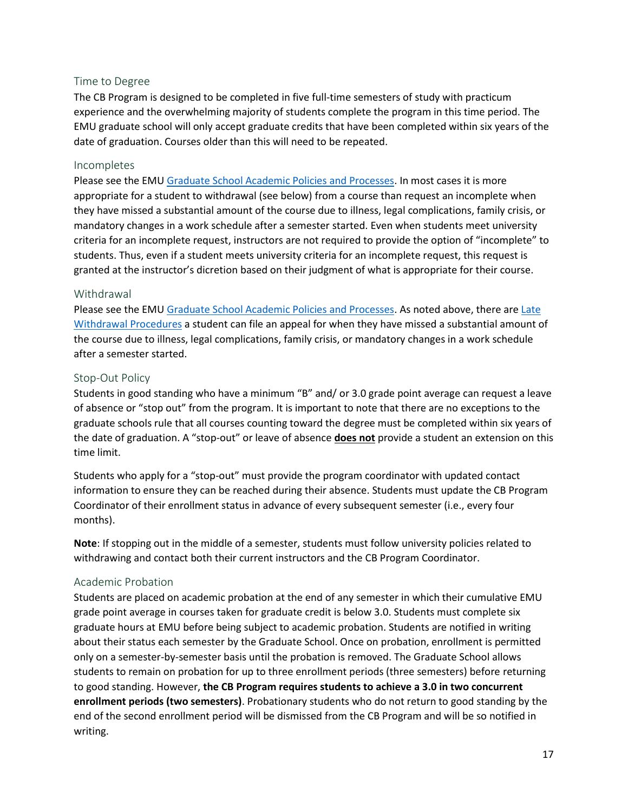## <span id="page-19-0"></span>Time to Degree

The CB Program is designed to be completed in five full-time semesters of study with practicum experience and the overwhelming majority of students complete the program in this time period. The EMU graduate school will only accept graduate credits that have been completed within six years of the date of graduation. Courses older than this will need to be repeated.

## <span id="page-19-1"></span>Incompletes

Please see the EM[U Graduate School Academic Policies and Processes.](http://www.emich.edu/graduate/policies/policies_process.pdf) In most cases it is more appropriate for a student to withdrawal (see below) from a course than request an incomplete when they have missed a substantial amount of the course due to illness, legal complications, family crisis, or mandatory changes in a work schedule after a semester started. Even when students meet university criteria for an incomplete request, instructors are not required to provide the option of "incomplete" to students. Thus, even if a student meets university criteria for an incomplete request, this request is granted at the instructor's dicretion based on their judgment of what is appropriate for their course.

## <span id="page-19-2"></span>Withdrawal

Please see the EM[U Graduate School Academic Policies and Processes.](http://www.emich.edu/graduate/policies/policies_process.pdf) As noted above, there are Late [Withdrawal Procedures](https://www.emich.edu/registrar/registration/dropwithdrawl.php) a student can file an appeal for when they have missed a substantial amount of the course due to illness, legal complications, family crisis, or mandatory changes in a work schedule after a semester started.

## <span id="page-19-3"></span>Stop-Out Policy

Students in good standing who have a minimum "B" and/ or 3.0 grade point average can request a leave of absence or "stop out" from the program. It is important to note that there are no exceptions to the graduate schools rule that all courses counting toward the degree must be completed within six years of the date of graduation. A "stop-out" or leave of absence **does not** provide a student an extension on this time limit.

Students who apply for a "stop-out" must provide the program coordinator with updated contact information to ensure they can be reached during their absence. Students must update the CB Program Coordinator of their enrollment status in advance of every subsequent semester (i.e., every four months).

**Note**: If stopping out in the middle of a semester, students must follow university policies related to withdrawing and contact both their current instructors and the CB Program Coordinator.

## <span id="page-19-4"></span>Academic Probation

Students are placed on academic probation at the end of any semester in which their cumulative EMU grade point average in courses taken for graduate credit is below 3.0. Students must complete six graduate hours at EMU before being subject to academic probation. Students are notified in writing about their status each semester by the Graduate School. Once on probation, enrollment is permitted only on a semester-by-semester basis until the probation is removed. The Graduate School allows students to remain on probation for up to three enrollment periods (three semesters) before returning to good standing. However, **the CB Program requires students to achieve a 3.0 in two concurrent enrollment periods (two semesters)**. Probationary students who do not return to good standing by the end of the second enrollment period will be dismissed from the CB Program and will be so notified in writing.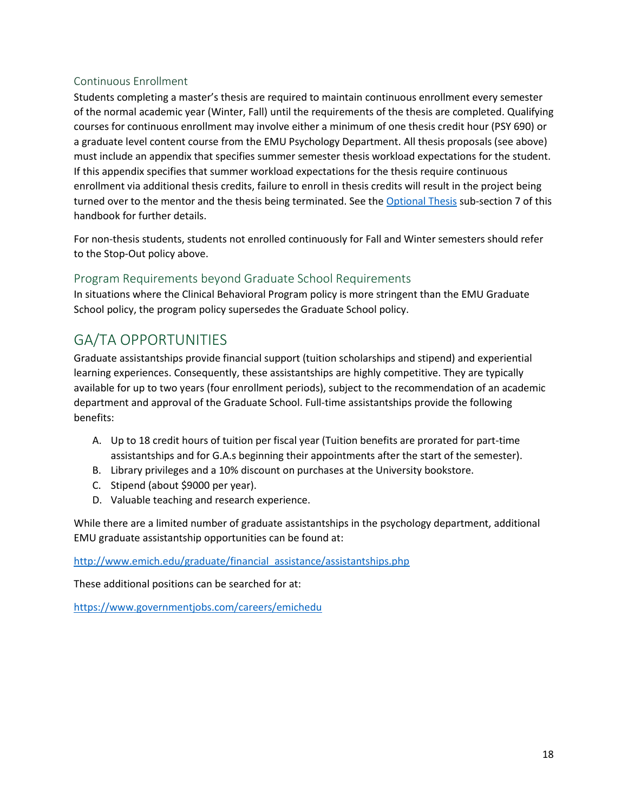## <span id="page-20-0"></span>Continuous Enrollment

Students completing a master's thesis are required to maintain continuous enrollment every semester of the normal academic year (Winter, Fall) until the requirements of the thesis are completed. Qualifying courses for continuous enrollment may involve either a minimum of one thesis credit hour (PSY 690) or a graduate level content course from the EMU Psychology Department. All thesis proposals (see above) must include an appendix that specifies summer semester thesis workload expectations for the student. If this appendix specifies that summer workload expectations for the thesis require continuous enrollment via additional thesis credits, failure to enroll in thesis credits will result in the project being turned over to the mentor and the thesis being terminated. See th[e Optional Thesis](#page-10-0) sub-section 7 of this handbook for further details.

For non-thesis students, students not enrolled continuously for Fall and Winter semesters should refer to the Stop-Out policy above.

## <span id="page-20-1"></span>Program Requirements beyond Graduate School Requirements

In situations where the Clinical Behavioral Program policy is more stringent than the EMU Graduate School policy, the program policy supersedes the Graduate School policy.

# <span id="page-20-2"></span>GA/TA OPPORTUNITIES

Graduate assistantships provide financial support (tuition scholarships and stipend) and experiential learning experiences. Consequently, these assistantships are highly competitive. They are typically available for up to two years (four enrollment periods), subject to the recommendation of an academic department and approval of the Graduate School. Full-time assistantships provide the following benefits:

- A. Up to 18 credit hours of tuition per fiscal year (Tuition benefits are prorated for part-time assistantships and for G.A.s beginning their appointments after the start of the semester).
- B. Library privileges and a 10% discount on purchases at the University bookstore.
- C. Stipend (about \$9000 per year).
- D. Valuable teaching and research experience.

While there are a limited number of graduate assistantships in the psychology department, additional EMU graduate assistantship opportunities can be found at:

[http://www.emich.edu/graduate/financial\\_assistance/assistantships.php](http://www.emich.edu/graduate/financial_assistance/assistantships.php)

These additional positions can be searched for at:

<https://www.governmentjobs.com/careers/emichedu>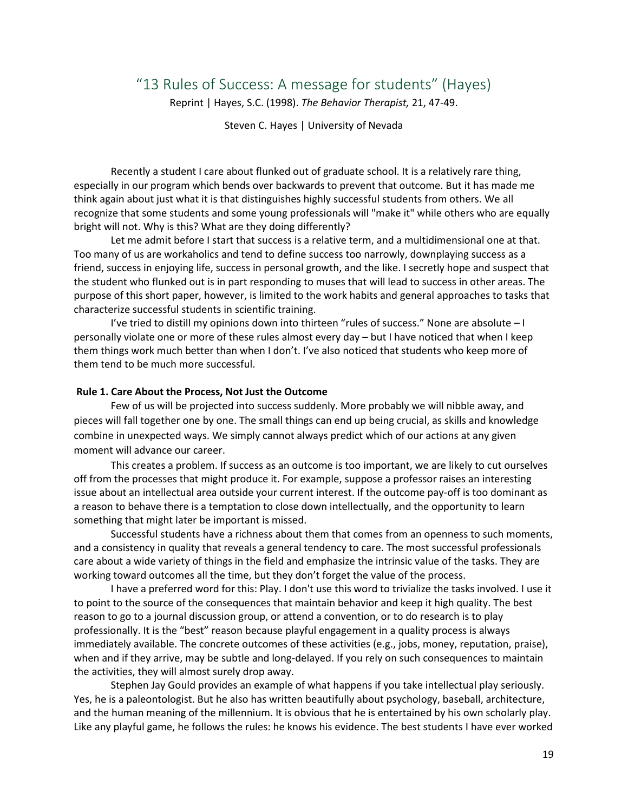## <span id="page-21-0"></span>"13 Rules of Success: A message for students" (Hayes)

Reprint | Hayes, S.C. (1998). *The Behavior Therapist,* 21, 47-49.

Steven C. Hayes | University of Nevada

Recently a student I care about flunked out of graduate school. It is a relatively rare thing, especially in our program which bends over backwards to prevent that outcome. But it has made me think again about just what it is that distinguishes highly successful students from others. We all recognize that some students and some young professionals will "make it" while others who are equally bright will not. Why is this? What are they doing differently?

Let me admit before I start that success is a relative term, and a multidimensional one at that. Too many of us are workaholics and tend to define success too narrowly, downplaying success as a friend, success in enjoying life, success in personal growth, and the like. I secretly hope and suspect that the student who flunked out is in part responding to muses that will lead to success in other areas. The purpose of this short paper, however, is limited to the work habits and general approaches to tasks that characterize successful students in scientific training.

I've tried to distill my opinions down into thirteen "rules of success." None are absolute – I personally violate one or more of these rules almost every day – but I have noticed that when I keep them things work much better than when I don't. I've also noticed that students who keep more of them tend to be much more successful.

#### **Rule 1. Care About the Process, Not Just the Outcome**

Few of us will be projected into success suddenly. More probably we will nibble away, and pieces will fall together one by one. The small things can end up being crucial, as skills and knowledge combine in unexpected ways. We simply cannot always predict which of our actions at any given moment will advance our career.

This creates a problem. If success as an outcome is too important, we are likely to cut ourselves off from the processes that might produce it. For example, suppose a professor raises an interesting issue about an intellectual area outside your current interest. If the outcome pay-off is too dominant as a reason to behave there is a temptation to close down intellectually, and the opportunity to learn something that might later be important is missed.

Successful students have a richness about them that comes from an openness to such moments, and a consistency in quality that reveals a general tendency to care. The most successful professionals care about a wide variety of things in the field and emphasize the intrinsic value of the tasks. They are working toward outcomes all the time, but they don't forget the value of the process.

I have a preferred word for this: Play. I don't use this word to trivialize the tasks involved. I use it to point to the source of the consequences that maintain behavior and keep it high quality. The best reason to go to a journal discussion group, or attend a convention, or to do research is to play professionally. It is the "best" reason because playful engagement in a quality process is always immediately available. The concrete outcomes of these activities (e.g., jobs, money, reputation, praise), when and if they arrive, may be subtle and long-delayed. If you rely on such consequences to maintain the activities, they will almost surely drop away.

Stephen Jay Gould provides an example of what happens if you take intellectual play seriously. Yes, he is a paleontologist. But he also has written beautifully about psychology, baseball, architecture, and the human meaning of the millennium. It is obvious that he is entertained by his own scholarly play. Like any playful game, he follows the rules: he knows his evidence. The best students I have ever worked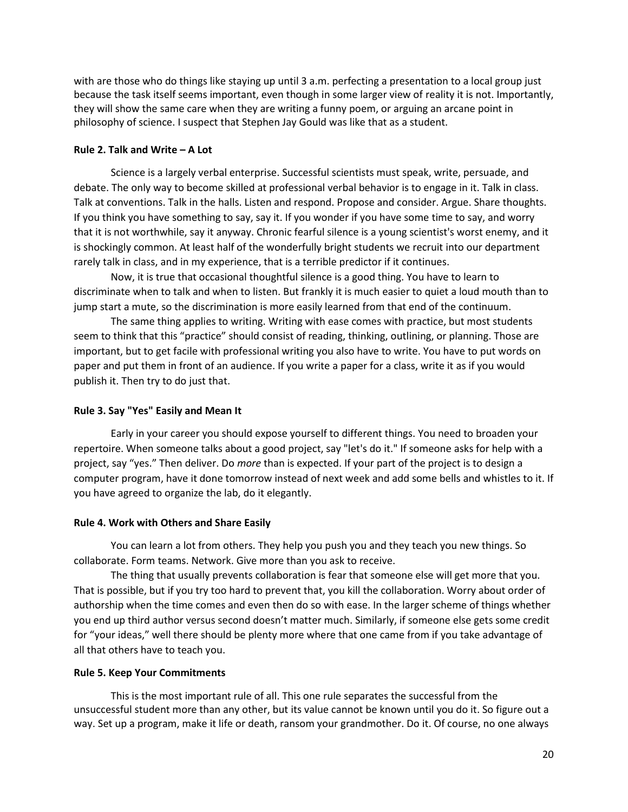with are those who do things like staying up until 3 a.m. perfecting a presentation to a local group just because the task itself seems important, even though in some larger view of reality it is not. Importantly, they will show the same care when they are writing a funny poem, or arguing an arcane point in philosophy of science. I suspect that Stephen Jay Gould was like that as a student.

#### **Rule 2. Talk and Write – A Lot**

Science is a largely verbal enterprise. Successful scientists must speak, write, persuade, and debate. The only way to become skilled at professional verbal behavior is to engage in it. Talk in class. Talk at conventions. Talk in the halls. Listen and respond. Propose and consider. Argue. Share thoughts. If you think you have something to say, say it. If you wonder if you have some time to say, and worry that it is not worthwhile, say it anyway. Chronic fearful silence is a young scientist's worst enemy, and it is shockingly common. At least half of the wonderfully bright students we recruit into our department rarely talk in class, and in my experience, that is a terrible predictor if it continues.

Now, it is true that occasional thoughtful silence is a good thing. You have to learn to discriminate when to talk and when to listen. But frankly it is much easier to quiet a loud mouth than to jump start a mute, so the discrimination is more easily learned from that end of the continuum.

The same thing applies to writing. Writing with ease comes with practice, but most students seem to think that this "practice" should consist of reading, thinking, outlining, or planning. Those are important, but to get facile with professional writing you also have to write. You have to put words on paper and put them in front of an audience. If you write a paper for a class, write it as if you would publish it. Then try to do just that.

#### **Rule 3. Say "Yes" Easily and Mean It**

Early in your career you should expose yourself to different things. You need to broaden your repertoire. When someone talks about a good project, say "let's do it." If someone asks for help with a project, say "yes." Then deliver. Do *more* than is expected. If your part of the project is to design a computer program, have it done tomorrow instead of next week and add some bells and whistles to it. If you have agreed to organize the lab, do it elegantly.

## **Rule 4. Work with Others and Share Easily**

You can learn a lot from others. They help you push you and they teach you new things. So collaborate. Form teams. Network. Give more than you ask to receive.

The thing that usually prevents collaboration is fear that someone else will get more that you. That is possible, but if you try too hard to prevent that, you kill the collaboration. Worry about order of authorship when the time comes and even then do so with ease. In the larger scheme of things whether you end up third author versus second doesn't matter much. Similarly, if someone else gets some credit for "your ideas," well there should be plenty more where that one came from if you take advantage of all that others have to teach you.

## **Rule 5. Keep Your Commitments**

This is the most important rule of all. This one rule separates the successful from the unsuccessful student more than any other, but its value cannot be known until you do it. So figure out a way. Set up a program, make it life or death, ransom your grandmother. Do it. Of course, no one always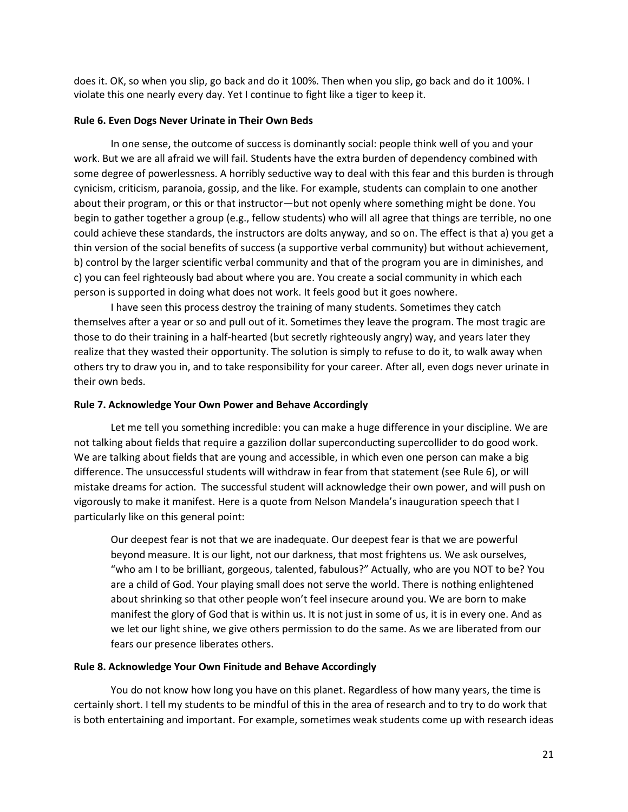does it. OK, so when you slip, go back and do it 100%. Then when you slip, go back and do it 100%. I violate this one nearly every day. Yet I continue to fight like a tiger to keep it.

#### **Rule 6. Even Dogs Never Urinate in Their Own Beds**

In one sense, the outcome of success is dominantly social: people think well of you and your work. But we are all afraid we will fail. Students have the extra burden of dependency combined with some degree of powerlessness. A horribly seductive way to deal with this fear and this burden is through cynicism, criticism, paranoia, gossip, and the like. For example, students can complain to one another about their program, or this or that instructor—but not openly where something might be done. You begin to gather together a group (e.g., fellow students) who will all agree that things are terrible, no one could achieve these standards, the instructors are dolts anyway, and so on. The effect is that a) you get a thin version of the social benefits of success (a supportive verbal community) but without achievement, b) control by the larger scientific verbal community and that of the program you are in diminishes, and c) you can feel righteously bad about where you are. You create a social community in which each person is supported in doing what does not work. It feels good but it goes nowhere.

I have seen this process destroy the training of many students. Sometimes they catch themselves after a year or so and pull out of it. Sometimes they leave the program. The most tragic are those to do their training in a half-hearted (but secretly righteously angry) way, and years later they realize that they wasted their opportunity. The solution is simply to refuse to do it, to walk away when others try to draw you in, and to take responsibility for your career. After all, even dogs never urinate in their own beds.

#### **Rule 7. Acknowledge Your Own Power and Behave Accordingly**

Let me tell you something incredible: you can make a huge difference in your discipline. We are not talking about fields that require a gazzilion dollar superconducting supercollider to do good work. We are talking about fields that are young and accessible, in which even one person can make a big difference. The unsuccessful students will withdraw in fear from that statement (see Rule 6), or will mistake dreams for action. The successful student will acknowledge their own power, and will push on vigorously to make it manifest. Here is a quote from Nelson Mandela's inauguration speech that I particularly like on this general point:

Our deepest fear is not that we are inadequate. Our deepest fear is that we are powerful beyond measure. It is our light, not our darkness, that most frightens us. We ask ourselves, "who am I to be brilliant, gorgeous, talented, fabulous?" Actually, who are you NOT to be? You are a child of God. Your playing small does not serve the world. There is nothing enlightened about shrinking so that other people won't feel insecure around you. We are born to make manifest the glory of God that is within us. It is not just in some of us, it is in every one. And as we let our light shine, we give others permission to do the same. As we are liberated from our fears our presence liberates others.

#### **Rule 8. Acknowledge Your Own Finitude and Behave Accordingly**

You do not know how long you have on this planet. Regardless of how many years, the time is certainly short. I tell my students to be mindful of this in the area of research and to try to do work that is both entertaining and important. For example, sometimes weak students come up with research ideas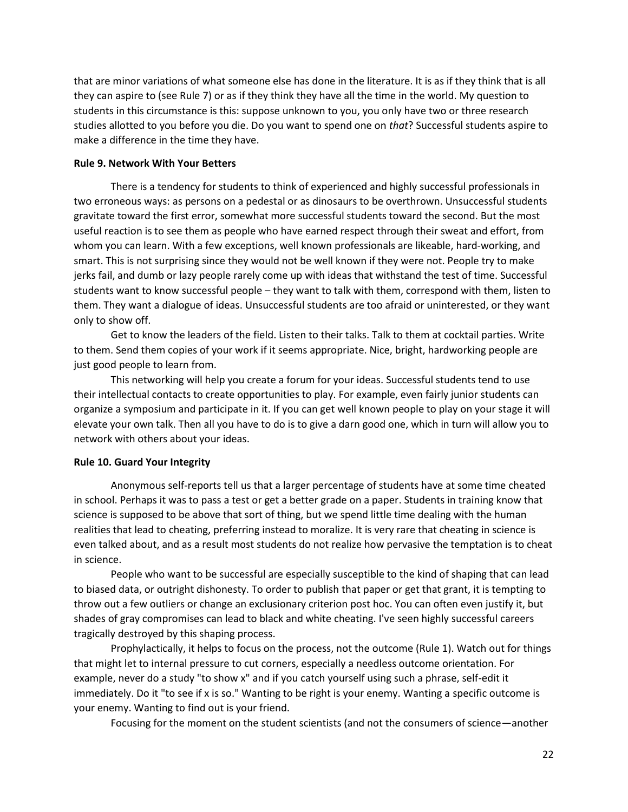that are minor variations of what someone else has done in the literature. It is as if they think that is all they can aspire to (see Rule 7) or as if they think they have all the time in the world. My question to students in this circumstance is this: suppose unknown to you, you only have two or three research studies allotted to you before you die. Do you want to spend one on *that*? Successful students aspire to make a difference in the time they have.

#### **Rule 9. Network With Your Betters**

There is a tendency for students to think of experienced and highly successful professionals in two erroneous ways: as persons on a pedestal or as dinosaurs to be overthrown. Unsuccessful students gravitate toward the first error, somewhat more successful students toward the second. But the most useful reaction is to see them as people who have earned respect through their sweat and effort, from whom you can learn. With a few exceptions, well known professionals are likeable, hard-working, and smart. This is not surprising since they would not be well known if they were not. People try to make jerks fail, and dumb or lazy people rarely come up with ideas that withstand the test of time. Successful students want to know successful people – they want to talk with them, correspond with them, listen to them. They want a dialogue of ideas. Unsuccessful students are too afraid or uninterested, or they want only to show off.

Get to know the leaders of the field. Listen to their talks. Talk to them at cocktail parties. Write to them. Send them copies of your work if it seems appropriate. Nice, bright, hardworking people are just good people to learn from.

This networking will help you create a forum for your ideas. Successful students tend to use their intellectual contacts to create opportunities to play. For example, even fairly junior students can organize a symposium and participate in it. If you can get well known people to play on your stage it will elevate your own talk. Then all you have to do is to give a darn good one, which in turn will allow you to network with others about your ideas.

## **Rule 10. Guard Your Integrity**

Anonymous self-reports tell us that a larger percentage of students have at some time cheated in school. Perhaps it was to pass a test or get a better grade on a paper. Students in training know that science is supposed to be above that sort of thing, but we spend little time dealing with the human realities that lead to cheating, preferring instead to moralize. It is very rare that cheating in science is even talked about, and as a result most students do not realize how pervasive the temptation is to cheat in science.

People who want to be successful are especially susceptible to the kind of shaping that can lead to biased data, or outright dishonesty. To order to publish that paper or get that grant, it is tempting to throw out a few outliers or change an exclusionary criterion post hoc. You can often even justify it, but shades of gray compromises can lead to black and white cheating. I've seen highly successful careers tragically destroyed by this shaping process.

Prophylactically, it helps to focus on the process, not the outcome (Rule 1). Watch out for things that might let to internal pressure to cut corners, especially a needless outcome orientation. For example, never do a study "to show x" and if you catch yourself using such a phrase, self-edit it immediately. Do it "to see if x is so." Wanting to be right is your enemy. Wanting a specific outcome is your enemy. Wanting to find out is your friend.

Focusing for the moment on the student scientists (and not the consumers of science—another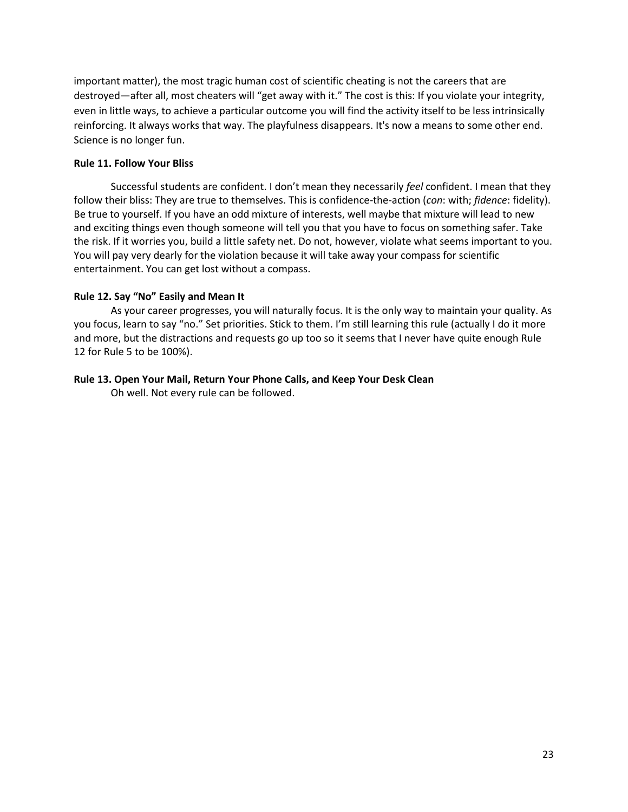important matter), the most tragic human cost of scientific cheating is not the careers that are destroyed—after all, most cheaters will "get away with it." The cost is this: If you violate your integrity, even in little ways, to achieve a particular outcome you will find the activity itself to be less intrinsically reinforcing. It always works that way. The playfulness disappears. It's now a means to some other end. Science is no longer fun.

#### **Rule 11. Follow Your Bliss**

Successful students are confident. I don't mean they necessarily *feel* confident. I mean that they follow their bliss: They are true to themselves. This is confidence-the-action (*con*: with; *fidence*: fidelity). Be true to yourself. If you have an odd mixture of interests, well maybe that mixture will lead to new and exciting things even though someone will tell you that you have to focus on something safer. Take the risk. If it worries you, build a little safety net. Do not, however, violate what seems important to you. You will pay very dearly for the violation because it will take away your compass for scientific entertainment. You can get lost without a compass.

## **Rule 12. Say "No" Easily and Mean It**

As your career progresses, you will naturally focus. It is the only way to maintain your quality. As you focus, learn to say "no." Set priorities. Stick to them. I'm still learning this rule (actually I do it more and more, but the distractions and requests go up too so it seems that I never have quite enough Rule 12 for Rule 5 to be 100%).

## **Rule 13. Open Your Mail, Return Your Phone Calls, and Keep Your Desk Clean**

Oh well. Not every rule can be followed.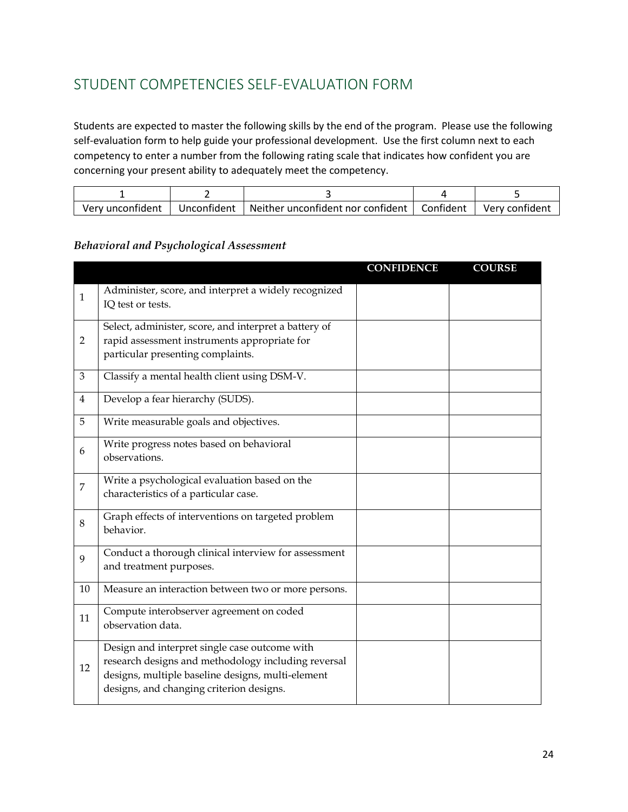# <span id="page-26-0"></span>STUDENT COMPETENCIES SELF-EVALUATION FORM

Students are expected to master the following skills by the end of the program. Please use the following self-evaluation form to help guide your professional development. Use the first column next to each competency to enter a number from the following rating scale that indicates how confident you are concerning your present ability to adequately meet the competency.

| Verv unconfident | Unconfident | Neither unconfident nor confident | Confident | - Very confident |
|------------------|-------------|-----------------------------------|-----------|------------------|

## *Behavioral and Psychological Assessment*

|                |                                                                                                                                                                                                       | <b>CONFIDENCE</b> | <b>COURSE</b> |
|----------------|-------------------------------------------------------------------------------------------------------------------------------------------------------------------------------------------------------|-------------------|---------------|
| $\mathbf{1}$   | Administer, score, and interpret a widely recognized<br>IQ test or tests.                                                                                                                             |                   |               |
| 2              | Select, administer, score, and interpret a battery of<br>rapid assessment instruments appropriate for<br>particular presenting complaints.                                                            |                   |               |
| 3              | Classify a mental health client using DSM-V.                                                                                                                                                          |                   |               |
| $\overline{4}$ | Develop a fear hierarchy (SUDS).                                                                                                                                                                      |                   |               |
| 5              | Write measurable goals and objectives.                                                                                                                                                                |                   |               |
| 6              | Write progress notes based on behavioral<br>observations.                                                                                                                                             |                   |               |
| 7              | Write a psychological evaluation based on the<br>characteristics of a particular case.                                                                                                                |                   |               |
| 8              | Graph effects of interventions on targeted problem<br>behavior.                                                                                                                                       |                   |               |
| 9              | Conduct a thorough clinical interview for assessment<br>and treatment purposes.                                                                                                                       |                   |               |
| 10             | Measure an interaction between two or more persons.                                                                                                                                                   |                   |               |
| 11             | Compute interobserver agreement on coded<br>observation data.                                                                                                                                         |                   |               |
| 12             | Design and interpret single case outcome with<br>research designs and methodology including reversal<br>designs, multiple baseline designs, multi-element<br>designs, and changing criterion designs. |                   |               |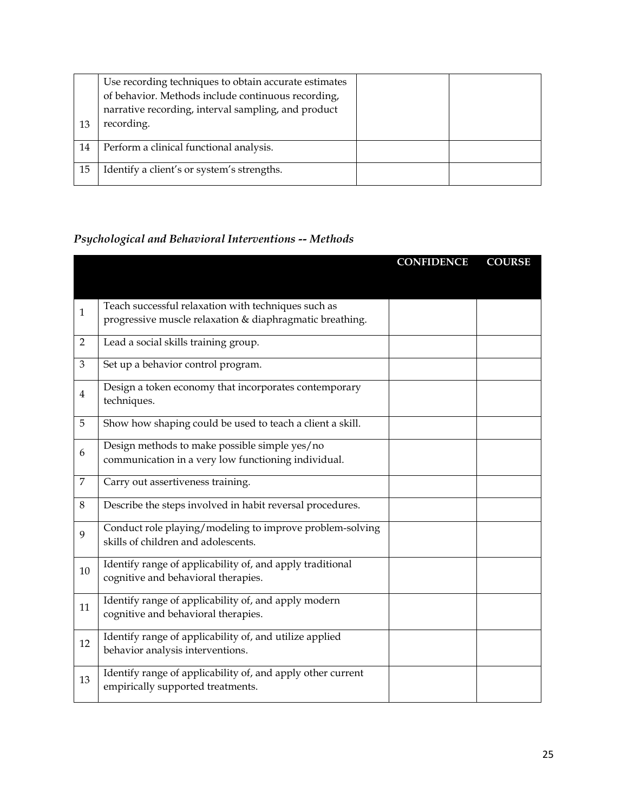|    | Use recording techniques to obtain accurate estimates |  |
|----|-------------------------------------------------------|--|
|    | of behavior. Methods include continuous recording,    |  |
|    | narrative recording, interval sampling, and product   |  |
| 13 | recording.                                            |  |
|    |                                                       |  |
| 14 | Perform a clinical functional analysis.               |  |
|    |                                                       |  |
| 15 | Identify a client's or system's strengths.            |  |
|    |                                                       |  |

# *Psychological and Behavioral Interventions -- Methods*

|                |                                                                                                                 | <b>CONFIDENCE</b> | <b>COURSE</b> |
|----------------|-----------------------------------------------------------------------------------------------------------------|-------------------|---------------|
|                |                                                                                                                 |                   |               |
| $\mathbf{1}$   | Teach successful relaxation with techniques such as<br>progressive muscle relaxation & diaphragmatic breathing. |                   |               |
| $\overline{2}$ | Lead a social skills training group.                                                                            |                   |               |
| 3              | Set up a behavior control program.                                                                              |                   |               |
| $\overline{4}$ | Design a token economy that incorporates contemporary<br>techniques.                                            |                   |               |
| 5              | Show how shaping could be used to teach a client a skill.                                                       |                   |               |
| 6              | Design methods to make possible simple yes/no<br>communication in a very low functioning individual.            |                   |               |
| $\overline{7}$ | Carry out assertiveness training.                                                                               |                   |               |
| $\,8\,$        | Describe the steps involved in habit reversal procedures.                                                       |                   |               |
| 9              | Conduct role playing/modeling to improve problem-solving<br>skills of children and adolescents.                 |                   |               |
| 10             | Identify range of applicability of, and apply traditional<br>cognitive and behavioral therapies.                |                   |               |
| 11             | Identify range of applicability of, and apply modern<br>cognitive and behavioral therapies.                     |                   |               |
| 12             | Identify range of applicability of, and utilize applied<br>behavior analysis interventions.                     |                   |               |
| 13             | Identify range of applicability of, and apply other current<br>empirically supported treatments.                |                   |               |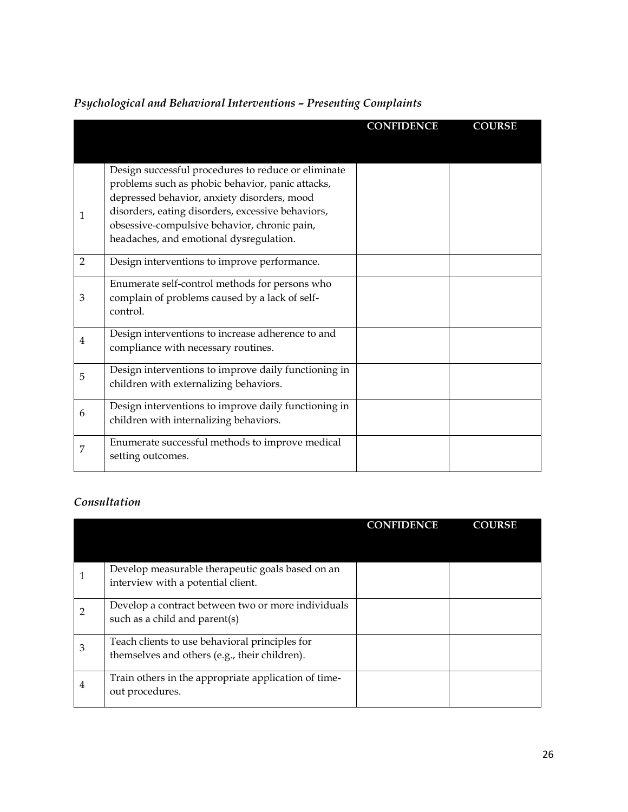|                |                                                                                                                                                                                                                                                                                                        | <b>CONFIDENCE</b> | <b>COURSE</b> |
|----------------|--------------------------------------------------------------------------------------------------------------------------------------------------------------------------------------------------------------------------------------------------------------------------------------------------------|-------------------|---------------|
|                |                                                                                                                                                                                                                                                                                                        |                   |               |
| $\mathbf{1}$   | Design successful procedures to reduce or eliminate<br>problems such as phobic behavior, panic attacks,<br>depressed behavior, anxiety disorders, mood<br>disorders, eating disorders, excessive behaviors,<br>obsessive-compulsive behavior, chronic pain,<br>headaches, and emotional dysregulation. |                   |               |
| 2              | Design interventions to improve performance.                                                                                                                                                                                                                                                           |                   |               |
| 3              | Enumerate self-control methods for persons who<br>complain of problems caused by a lack of self-<br>control.                                                                                                                                                                                           |                   |               |
| $\overline{4}$ | Design interventions to increase adherence to and<br>compliance with necessary routines.                                                                                                                                                                                                               |                   |               |
| 5              | Design interventions to improve daily functioning in<br>children with externalizing behaviors.                                                                                                                                                                                                         |                   |               |
| 6              | Design interventions to improve daily functioning in<br>children with internalizing behaviors.                                                                                                                                                                                                         |                   |               |
| 7              | Enumerate successful methods to improve medical<br>setting outcomes.                                                                                                                                                                                                                                   |                   |               |

# *Psychological and Behavioral Interventions – Presenting Complaints*

## *Consultation*

|   |                                                                                                 | <b>CONFIDENCE</b> |  |
|---|-------------------------------------------------------------------------------------------------|-------------------|--|
|   | Develop measurable therapeutic goals based on an<br>interview with a potential client.          |                   |  |
|   | Develop a contract between two or more individuals<br>such as a child and parent(s)             |                   |  |
| 3 | Teach clients to use behavioral principles for<br>themselves and others (e.g., their children). |                   |  |
| 4 | Train others in the appropriate application of time-<br>out procedures.                         |                   |  |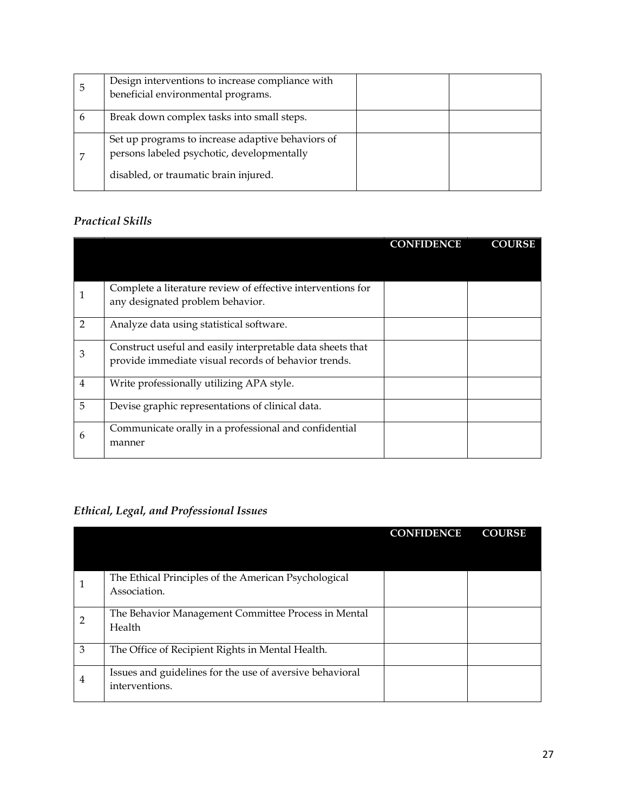| ხ | Design interventions to increase compliance with<br>beneficial environmental programs.                                                   |  |
|---|------------------------------------------------------------------------------------------------------------------------------------------|--|
| 6 | Break down complex tasks into small steps.                                                                                               |  |
|   | Set up programs to increase adaptive behaviors of<br>persons labeled psychotic, developmentally<br>disabled, or traumatic brain injured. |  |

## *Practical Skills*

|                |                                                                                                                    | <b>CONFIDENCE</b> | <b>COURSE</b> |
|----------------|--------------------------------------------------------------------------------------------------------------------|-------------------|---------------|
|                | Complete a literature review of effective interventions for<br>any designated problem behavior.                    |                   |               |
| $\mathfrak{D}$ | Analyze data using statistical software.                                                                           |                   |               |
| 3              | Construct useful and easily interpretable data sheets that<br>provide immediate visual records of behavior trends. |                   |               |
| $\overline{4}$ | Write professionally utilizing APA style.                                                                          |                   |               |
| 5              | Devise graphic representations of clinical data.                                                                   |                   |               |
| 6              | Communicate orally in a professional and confidential<br>manner                                                    |                   |               |

# *Ethical, Legal, and Professional Issues*

|                |                                                                      | <b>CONFIDENCE</b> | <b>COURSE</b> |
|----------------|----------------------------------------------------------------------|-------------------|---------------|
|                |                                                                      |                   |               |
| 1              | The Ethical Principles of the American Psychological<br>Association. |                   |               |
|                |                                                                      |                   |               |
|                | The Behavior Management Committee Process in Mental                  |                   |               |
|                | Health                                                               |                   |               |
| 3              | The Office of Recipient Rights in Mental Health.                     |                   |               |
| $\overline{4}$ | Issues and guidelines for the use of aversive behavioral             |                   |               |
|                | interventions.                                                       |                   |               |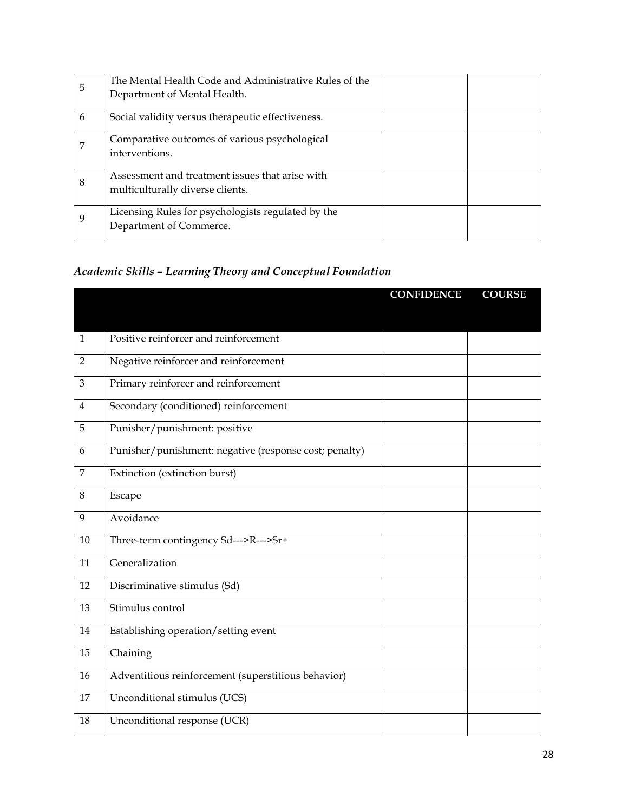| 5 | The Mental Health Code and Administrative Rules of the<br>Department of Mental Health. |  |
|---|----------------------------------------------------------------------------------------|--|
| 6 | Social validity versus therapeutic effectiveness.                                      |  |
|   | Comparative outcomes of various psychological<br>interventions.                        |  |
| 8 | Assessment and treatment issues that arise with<br>multiculturally diverse clients.    |  |
| 9 | Licensing Rules for psychologists regulated by the<br>Department of Commerce.          |  |

# *Academic Skills – Learning Theory and Conceptual Foundation*

|                |                                                        | <b>CONFIDENCE</b> | <b>COURSE</b> |
|----------------|--------------------------------------------------------|-------------------|---------------|
|                |                                                        |                   |               |
| $\mathbf{1}$   | Positive reinforcer and reinforcement                  |                   |               |
| $\overline{2}$ | Negative reinforcer and reinforcement                  |                   |               |
| 3              | Primary reinforcer and reinforcement                   |                   |               |
| $\overline{4}$ | Secondary (conditioned) reinforcement                  |                   |               |
| 5              | Punisher/punishment: positive                          |                   |               |
| 6              | Punisher/punishment: negative (response cost; penalty) |                   |               |
| $\overline{7}$ | Extinction (extinction burst)                          |                   |               |
| 8              | Escape                                                 |                   |               |
| 9              | Avoidance                                              |                   |               |
| 10             | Three-term contingency Sd--->R--->Sr+                  |                   |               |
| 11             | Generalization                                         |                   |               |
| 12             | Discriminative stimulus (Sd)                           |                   |               |
| 13             | Stimulus control                                       |                   |               |
| 14             | Establishing operation/setting event                   |                   |               |
| 15             | Chaining                                               |                   |               |
| 16             | Adventitious reinforcement (superstitious behavior)    |                   |               |
| 17             | Unconditional stimulus (UCS)                           |                   |               |
| 18             | Unconditional response (UCR)                           |                   |               |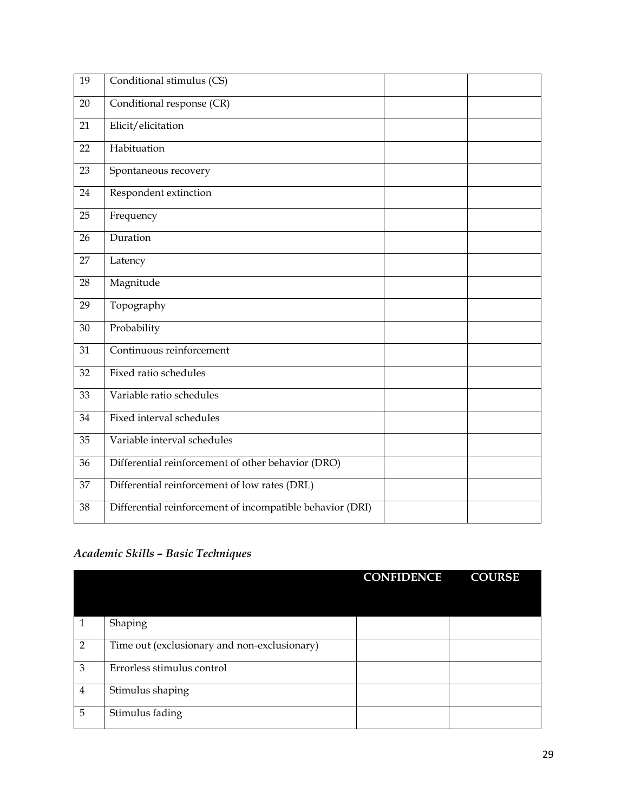| 19 | Conditional stimulus (CS)                                 |  |
|----|-----------------------------------------------------------|--|
| 20 | Conditional response (CR)                                 |  |
| 21 | Elicit/elicitation                                        |  |
| 22 | Habituation                                               |  |
| 23 | Spontaneous recovery                                      |  |
| 24 | Respondent extinction                                     |  |
| 25 | Frequency                                                 |  |
| 26 | Duration                                                  |  |
| 27 | Latency                                                   |  |
| 28 | Magnitude                                                 |  |
| 29 | Topography                                                |  |
| 30 | Probability                                               |  |
| 31 | Continuous reinforcement                                  |  |
| 32 | Fixed ratio schedules                                     |  |
| 33 | Variable ratio schedules                                  |  |
| 34 | Fixed interval schedules                                  |  |
| 35 | Variable interval schedules                               |  |
| 36 | Differential reinforcement of other behavior (DRO)        |  |
| 37 | Differential reinforcement of low rates (DRL)             |  |
| 38 | Differential reinforcement of incompatible behavior (DRI) |  |

# *Academic Skills – Basic Techniques*

|                |                                              | <b>CONFIDENCE</b> | <b>COURSE</b> |
|----------------|----------------------------------------------|-------------------|---------------|
|                | Shaping                                      |                   |               |
| 2              | Time out (exclusionary and non-exclusionary) |                   |               |
| 3              | Errorless stimulus control                   |                   |               |
| $\overline{4}$ | Stimulus shaping                             |                   |               |
| 5              | Stimulus fading                              |                   |               |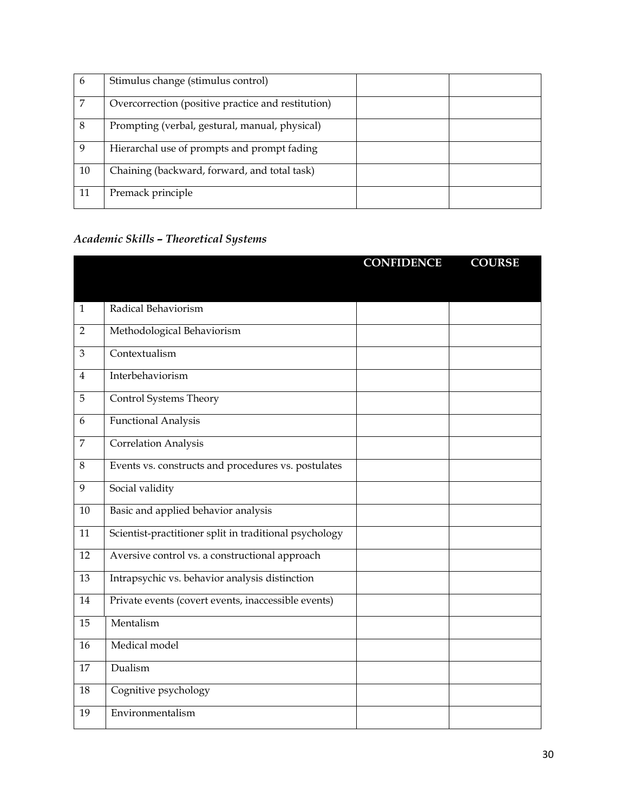| 6           | Stimulus change (stimulus control)                 |  |
|-------------|----------------------------------------------------|--|
|             | Overcorrection (positive practice and restitution) |  |
| 8           | Prompting (verbal, gestural, manual, physical)     |  |
| $\mathbf Q$ | Hierarchal use of prompts and prompt fading        |  |
| 10          | Chaining (backward, forward, and total task)       |  |
| 11          | Premack principle                                  |  |

# *Academic Skills – Theoretical Systems*

|                |                                                        | <b>CONFIDENCE</b> | <b>COURSE</b> |
|----------------|--------------------------------------------------------|-------------------|---------------|
|                |                                                        |                   |               |
| 1              | Radical Behaviorism                                    |                   |               |
|                |                                                        |                   |               |
| $\overline{2}$ | Methodological Behaviorism                             |                   |               |
| 3              | Contextualism                                          |                   |               |
| $\overline{4}$ | Interbehaviorism                                       |                   |               |
| 5              | Control Systems Theory                                 |                   |               |
| 6              | <b>Functional Analysis</b>                             |                   |               |
| $\overline{7}$ | <b>Correlation Analysis</b>                            |                   |               |
| 8              | Events vs. constructs and procedures vs. postulates    |                   |               |
| 9              | Social validity                                        |                   |               |
| 10             | Basic and applied behavior analysis                    |                   |               |
| 11             | Scientist-practitioner split in traditional psychology |                   |               |
| 12             | Aversive control vs. a constructional approach         |                   |               |
| 13             | Intrapsychic vs. behavior analysis distinction         |                   |               |
| 14             | Private events (covert events, inaccessible events)    |                   |               |
| 15             | Mentalism                                              |                   |               |
| 16             | Medical model                                          |                   |               |
| 17             | Dualism                                                |                   |               |
| 18             | Cognitive psychology                                   |                   |               |
| 19             | Environmentalism                                       |                   |               |